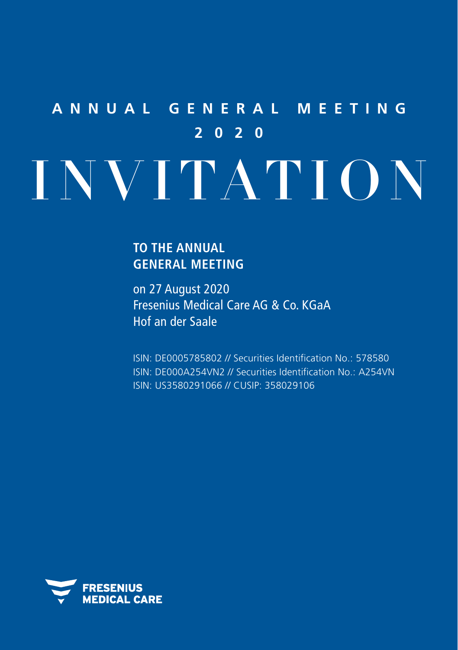# **ANNUAL GENERAL MEETING 2020** INVITATION

# **TO THE ANNUAL GENERAL MEETING**

on 27 August 2020 Fresenius Medical Care AG & Co. KGaA Hof an der Saale

ISIN: DE0005785802 // Securities Identification No.: 578580 ISIN: DE000A254VN2 // Securities Identification No.: A254VN ISIN: US3580291066 // CUSIP: 358029106

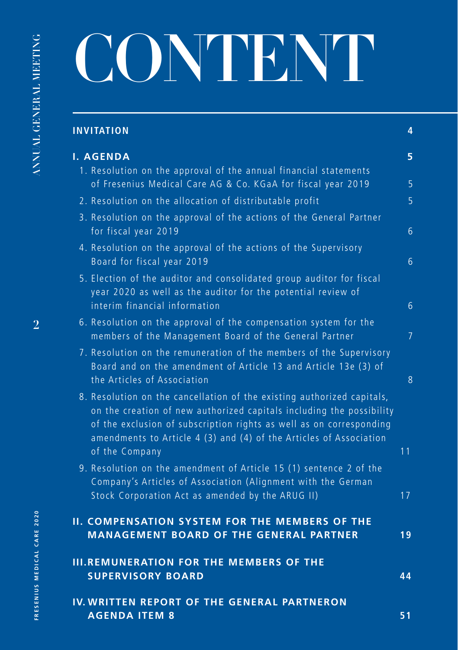# CONTENT

| <b>INVITATION</b>                                                                                                                                                                                                                                                                                             | 4              |
|---------------------------------------------------------------------------------------------------------------------------------------------------------------------------------------------------------------------------------------------------------------------------------------------------------------|----------------|
| <b>I. AGENDA</b>                                                                                                                                                                                                                                                                                              | 5              |
| 1. Resolution on the approval of the annual financial statements<br>of Fresenius Medical Care AG & Co. KGaA for fiscal year 2019                                                                                                                                                                              | 5              |
| 2. Resolution on the allocation of distributable profit                                                                                                                                                                                                                                                       | $\overline{5}$ |
| 3. Resolution on the approval of the actions of the General Partner<br>for fiscal year 2019                                                                                                                                                                                                                   | 6              |
| 4. Resolution on the approval of the actions of the Supervisory<br>Board for fiscal year 2019                                                                                                                                                                                                                 | 6              |
| 5. Election of the auditor and consolidated group auditor for fiscal<br>year 2020 as well as the auditor for the potential review of<br>interim financial information                                                                                                                                         | 6              |
| 6. Resolution on the approval of the compensation system for the<br>members of the Management Board of the General Partner                                                                                                                                                                                    | 7              |
| 7. Resolution on the remuneration of the members of the Supervisory<br>Board and on the amendment of Article 13 and Article 13e (3) of<br>the Articles of Association                                                                                                                                         | 8              |
| 8. Resolution on the cancellation of the existing authorized capitals,<br>on the creation of new authorized capitals including the possibility<br>of the exclusion of subscription rights as well as on corresponding<br>amendments to Article 4 (3) and (4) of the Articles of Association<br>of the Company | 11             |
| 9. Resolution on the amendment of Article 15 (1) sentence 2 of the<br>Company's Articles of Association (Alignment with the German<br>Stock Corporation Act as amended by the ARUG II)                                                                                                                        | 17             |
| <b>II. COMPENSATION SYSTEM FOR THE MEMBERS OF THE</b><br><b>MANAGEMENT BOARD OF THE GENERAL PARTNER</b>                                                                                                                                                                                                       | 19             |
| <b>III.REMUNERATION FOR THE MEMBERS OF THE</b><br><b>SUPERVISORY BOARD</b>                                                                                                                                                                                                                                    | 44             |
| IV. WRITTEN REPORT OF THE GENERAL PARTNERON<br><b>AGENDA ITEM 8</b>                                                                                                                                                                                                                                           | 51             |

**2**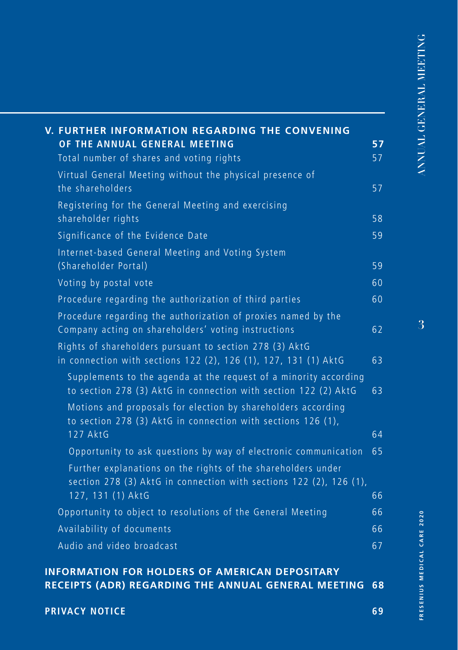| V. FURTHER INFORMATION REGARDING THE CONVENING<br>OF THE ANNUAL GENERAL MEETING<br>Total number of shares and voting rights         | 57<br>57 |
|-------------------------------------------------------------------------------------------------------------------------------------|----------|
| Virtual General Meeting without the physical presence of                                                                            |          |
| the shareholders                                                                                                                    | 57       |
| Registering for the General Meeting and exercising<br>shareholder rights                                                            | 58       |
| Significance of the Evidence Date                                                                                                   | 59       |
| Internet-based General Meeting and Voting System<br>(Shareholder Portal)                                                            | 59       |
| Voting by postal vote                                                                                                               | 60       |
| Procedure regarding the authorization of third parties                                                                              | 60       |
| Procedure regarding the authorization of proxies named by the<br>Company acting on shareholders' voting instructions                | 62       |
| Rights of shareholders pursuant to section 278 (3) AktG<br>in connection with sections 122 (2), 126 (1), 127, 131 (1) AktG          | 63       |
| Supplements to the agenda at the request of a minority according<br>to section 278 (3) AktG in connection with section 122 (2) AktG | 63       |
| Motions and proposals for election by shareholders according<br>to section 278 (3) AktG in connection with sections 126 (1),        |          |
| 127 AktG                                                                                                                            | 64       |
| Opportunity to ask questions by way of electronic communication                                                                     | 65       |
| Further explanations on the rights of the shareholders under<br>section 278 (3) AktG in connection with sections 122 (2), 126 (1),  |          |
| 127, 131 (1) AktG                                                                                                                   | 66       |
| Opportunity to object to resolutions of the General Meeting                                                                         | 66       |
| Availability of documents                                                                                                           | 66       |
| Audio and video broadcast                                                                                                           | 67       |

**[PRIVACY NOTICE](#page-68-0) 69**

FRESENIUS MEDICAL CARE 2020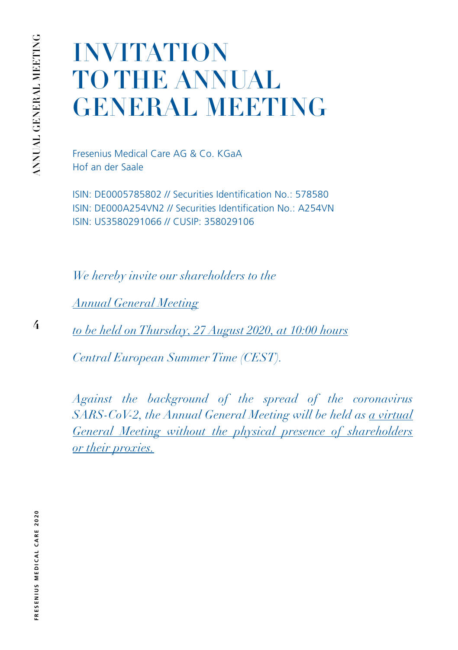**4**

# <span id="page-3-0"></span>INVITATION TO THE ANNUAL GENERAL MEETING

Fresenius Medical Care AG & Co. KGaA Hof an der Saale

ISIN: DE0005785802 // Securities Identification No.: 578580 ISIN: DE000A254VN2 // Securities Identification No.: A254VN ISIN: US3580291066 // CUSIP: 358029106

*We hereby invite our shareholders to the* 

*Annual General Meeting*

*to be held on Thursday, 27 August 2020, at 10:00 hours*

*Central European Summer Time (CEST).*

*Against the background of the spread of the coronavirus SARS-CoV-2, the Annual General Meeting will be held as a virtual General Meeting without the physical presence of shareholders or their proxies.*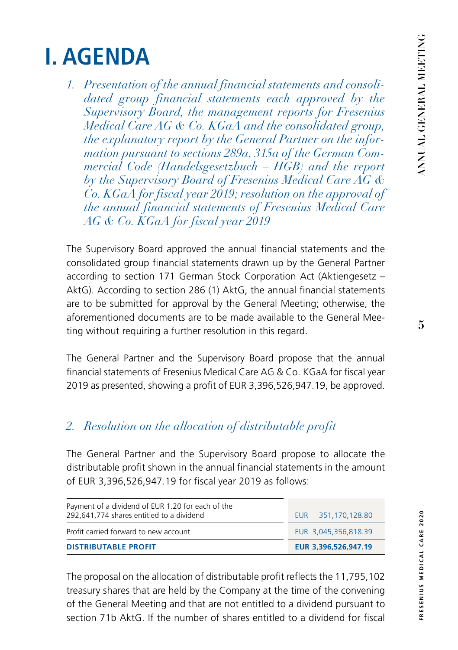# <span id="page-4-0"></span>**I. AGENDA**

*1. Presentation of the annual financial statements and consolidated group financial statements each approved by the Supervisory Board, the management reports for Fresenius Medical Care AG & Co. KGaA and the consolidated group, the explanatory report by the General Partner on the information pursuant to sections 289a, 315a of the German Commercial Code (Handelsgesetzbuch – HGB) and the report by the Supervisory Board of Fresenius Medical Care AG & Co. KGaA for fiscal year 2019; resolution on the approval of the annual financial statements of Fresenius Medical Care AG & Co. KGaA for fiscal year 2019*

The Supervisory Board approved the annual financial statements and the consolidated group financial statements drawn up by the General Partner according to section 171 German Stock Corporation Act (Aktiengesetz – AktG). According to section 286 (1) AktG, the annual financial statements are to be submitted for approval by the General Meeting; otherwise, the aforementioned documents are to be made available to the General Meeting without requiring a further resolution in this regard.

The General Partner and the Supervisory Board propose that the annual financial statements of Fresenius Medical Care AG & Co. KGaA for fiscal year 2019 as presented, showing a profit of EUR 3,396,526,947.19, be approved.

# *2. Resolution on the allocation of distributable profit*

The General Partner and the Supervisory Board propose to allocate the distributable profit shown in the annual financial statements in the amount of EUR 3,396,526,947.19 for fiscal year 2019 as follows:

| Payment of a dividend of EUR 1.20 for each of the<br>292,641,774 shares entitled to a dividend | EUR 351,170,128.80   |
|------------------------------------------------------------------------------------------------|----------------------|
| Profit carried forward to new account                                                          | EUR 3.045.356.818.39 |
| <b>DISTRIBUTABLE PROFIT</b>                                                                    | EUR 3,396,526,947.19 |

The proposal on the allocation of distributable profit reflects the 11,795,102 treasury shares that are held by the Company at the time of the convening of the General Meeting and that are not entitled to a dividend pursuant to section 71b AktG. If the number of shares entitled to a dividend for fiscal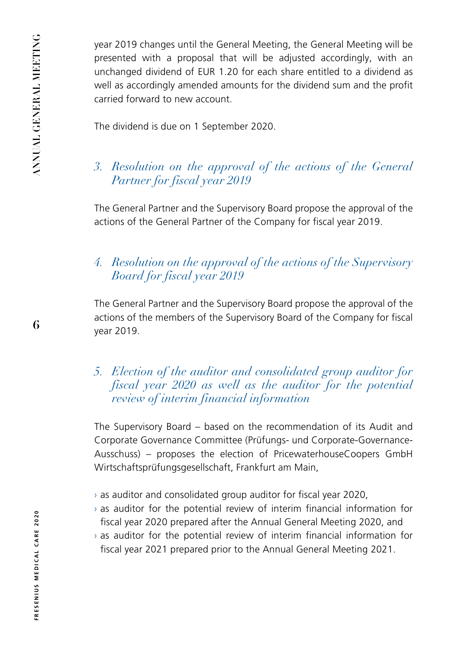**6**

<span id="page-5-0"></span>year 2019 changes until the General Meeting, the General Meeting will be presented with a proposal that will be adjusted accordingly, with an unchanged dividend of EUR 1.20 for each share entitled to a dividend as well as accordingly amended amounts for the dividend sum and the profit carried forward to new account.

The dividend is due on 1 September 2020.

# *3. Resolution on the approval of the actions of the General Partner for fiscal year 2019*

The General Partner and the Supervisory Board propose the approval of the actions of the General Partner of the Company for fiscal year 2019.

# *4. Resolution on the approval of the actions of the Supervisory Board for fiscal year 2019*

The General Partner and the Supervisory Board propose the approval of the actions of the members of the Supervisory Board of the Company for fiscal year 2019.

# *5. Election of the auditor and consolidated group auditor for fiscal year 2020 as well as the auditor for the potential review of interim financial information*

The Supervisory Board – based on the recommendation of its Audit and Corporate Governance Committee (Prüfungs- und Corporate-Governance-Ausschuss) – proposes the election of PricewaterhouseCoopers GmbH Wirtschaftsprüfungsgesellschaft, Frankfurt am Main,

- $\rightarrow$  as auditor and consolidated group auditor for fiscal year 2020,
- $\rightarrow$  as auditor for the potential review of interim financial information for fiscal year 2020 prepared after the Annual General Meeting 2020, and
- $\rightarrow$  as auditor for the potential review of interim financial information for fiscal year 2021 prepared prior to the Annual General Meeting 2021.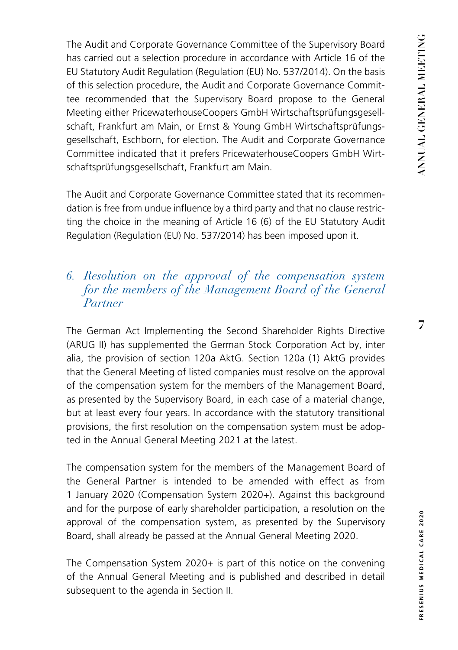<span id="page-6-0"></span>The Audit and Corporate Governance Committee of the Supervisory Board has carried out a selection procedure in accordance with Article 16 of the EU Statutory Audit Regulation (Regulation (EU) No. 537/2014). On the basis of this selection procedure, the Audit and Corporate Governance Committee recommended that the Supervisory Board propose to the General Meeting either PricewaterhouseCoopers GmbH Wirtschaftsprüfungsgesellschaft, Frankfurt am Main, or Ernst & Young GmbH Wirtschaftsprüfungsgesellschaft, Eschborn, for election. The Audit and Corporate Governance Committee indicated that it prefers PricewaterhouseCoopers GmbH Wirtschaftsprüfungsgesellschaft, Frankfurt am Main.

The Audit and Corporate Governance Committee stated that its recommendation is free from undue influence by a third party and that no clause restricting the choice in the meaning of Article 16 (6) of the EU Statutory Audit Regulation (Regulation (EU) No. 537/2014) has been imposed upon it.

## *6. Resolution on the approval of the compensation system for the members of the Management Board of the General Partner*

The German Act Implementing the Second Shareholder Rights Directive (ARUG II) has supplemented the German Stock Corporation Act by, inter alia, the provision of section 120a AktG. Section 120a (1) AktG provides that the General Meeting of listed companies must resolve on the approval of the compensation system for the members of the Management Board, as presented by the Supervisory Board, in each case of a material change, but at least every four years. In accordance with the statutory transitional provisions, the first resolution on the compensation system must be adopted in the Annual General Meeting 2021 at the latest.

The compensation system for the members of the Management Board of the General Partner is intended to be amended with effect as from 1 January 2020 (Compensation System 2020+). Against this background and for the purpose of early shareholder participation, a resolution on the approval of the compensation system, as presented by the Supervisory Board, shall already be passed at the Annual General Meeting 2020.

The Compensation System 2020+ is part of this notice on the convening of the Annual General Meeting and is published and described in detail subsequent to the agenda in Section II.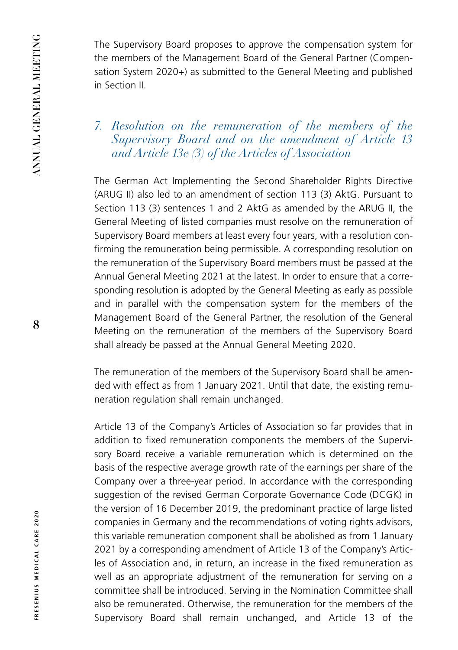<span id="page-7-0"></span>The Supervisory Board proposes to approve the compensation system for the members of the Management Board of the General Partner (Compensation System 2020+) as submitted to the General Meeting and published in Section II.

# *7. Resolution on the remuneration of the members of the Supervisory Board and on the amendment of Article 13 and Article 13e (3) of the Articles of Association*

The German Act Implementing the Second Shareholder Rights Directive (ARUG II) also led to an amendment of section 113 (3) AktG. Pursuant to Section 113 (3) sentences 1 and 2 AktG as amended by the ARUG II, the General Meeting of listed companies must resolve on the remuneration of Supervisory Board members at least every four years, with a resolution confirming the remuneration being permissible. A corresponding resolution on the remuneration of the Supervisory Board members must be passed at the Annual General Meeting 2021 at the latest. In order to ensure that a corresponding resolution is adopted by the General Meeting as early as possible and in parallel with the compensation system for the members of the Management Board of the General Partner, the resolution of the General Meeting on the remuneration of the members of the Supervisory Board shall already be passed at the Annual General Meeting 2020.

The remuneration of the members of the Supervisory Board shall be amended with effect as from 1 January 2021. Until that date, the existing remuneration regulation shall remain unchanged.

Article 13 of the Company's Articles of Association so far provides that in addition to fixed remuneration components the members of the Supervisory Board receive a variable remuneration which is determined on the basis of the respective average growth rate of the earnings per share of the Company over a three-year period. In accordance with the corresponding suggestion of the revised German Corporate Governance Code (DCGK) in the version of 16 December 2019, the predominant practice of large listed companies in Germany and the recommendations of voting rights advisors, this variable remuneration component shall be abolished as from 1 January 2021 by a corresponding amendment of Article 13 of the Company's Articles of Association and, in return, an increase in the fixed remuneration as well as an appropriate adjustment of the remuneration for serving on a committee shall be introduced. Serving in the Nomination Committee shall also be remunerated. Otherwise, the remuneration for the members of the Supervisory Board shall remain unchanged, and Article 13 of the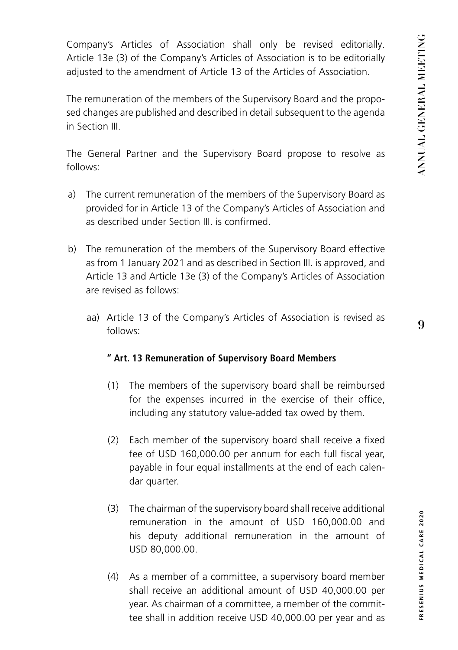Company's Articles of Association shall only be revised editorially. Article 13e (3) of the Company's Articles of Association is to be editorially adjusted to the amendment of Article 13 of the Articles of Association.

The remuneration of the members of the Supervisory Board and the proposed changes are published and described in detail subsequent to the agenda in Section III.

The General Partner and the Supervisory Board propose to resolve as follows:

- a) The current remuneration of the members of the Supervisory Board as provided for in Article 13 of the Company's Articles of Association and as described under Section III. is confirmed.
- b) The remuneration of the members of the Supervisory Board effective as from 1 January 2021 and as described in Section III. is approved, and Article 13 and Article 13e (3) of the Company's Articles of Association are revised as follows:
	- aa) Article 13 of the Company's Articles of Association is revised as follows:

#### **" Art. 13 Remuneration of Supervisory Board Members**

- (1) The members of the supervisory board shall be reimbursed for the expenses incurred in the exercise of their office, including any statutory value-added tax owed by them.
- (2) Each member of the supervisory board shall receive a fixed fee of USD 160,000.00 per annum for each full fiscal year, payable in four equal installments at the end of each calendar quarter.
- (3) The chairman of the supervisory board shall receive additional remuneration in the amount of USD 160,000.00 and his deputy additional remuneration in the amount of USD 80,000.00.
- (4) As a member of a committee, a supervisory board member shall receive an additional amount of USD 40,000.00 per year. As chairman of a committee, a member of the committee shall in addition receive USD 40,000.00 per year and as

**9**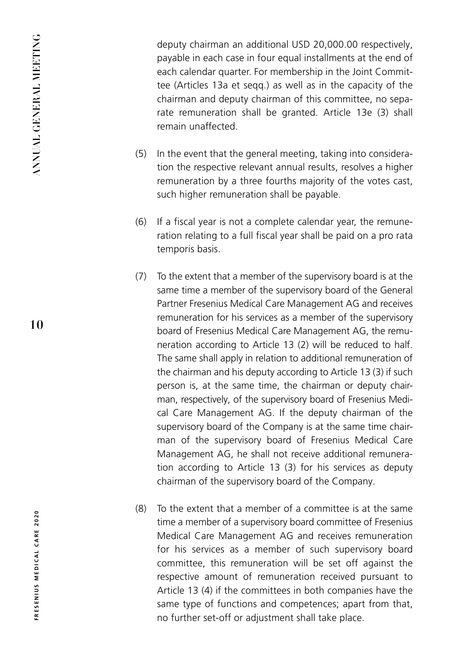deputy chairman an additional USD 20,000.00 respectively, payable in each case in four equal installments at the end of each calendar quarter. For membership in the Joint Committee (Articles 13a et seqq.) as well as in the capacity of the chairman and deputy chairman of this committee, no separate remuneration shall be granted. Article 13e (3) shall remain unaffected.

- (5) In the event that the general meeting, taking into consideration the respective relevant annual results, resolves a higher remuneration by a three fourths majority of the votes cast, such higher remuneration shall be payable.
- (6) If a fiscal year is not a complete calendar year, the remuneration relating to a full fiscal year shall be paid on a pro rata temporis basis.
- (7) To the extent that a member of the supervisory board is at the same time a member of the supervisory board of the General Partner Fresenius Medical Care Management AG and receives remuneration for his services as a member of the supervisory board of Fresenius Medical Care Management AG, the remuneration according to Article 13 (2) will be reduced to half. The same shall apply in relation to additional remuneration of the chairman and his deputy according to Article 13 (3) if such person is, at the same time, the chairman or deputy chairman, respectively, of the supervisory board of Fresenius Medical Care Management AG. If the deputy chairman of the supervisory board of the Company is at the same time chairman of the supervisory board of Fresenius Medical Care Management AG, he shall not receive additional remuneration according to Article 13 (3) for his services as deputy chairman of the supervisory board of the Company.
- (8) To the extent that a member of a committee is at the same time a member of a supervisory board committee of Fresenius Medical Care Management AG and receives remuneration for his services as a member of such supervisory board committee, this remuneration will be set off against the respective amount of remuneration received pursuant to Article 13 (4) if the committees in both companies have the same type of functions and competences; apart from that, no further set-off or adjustment shall take place.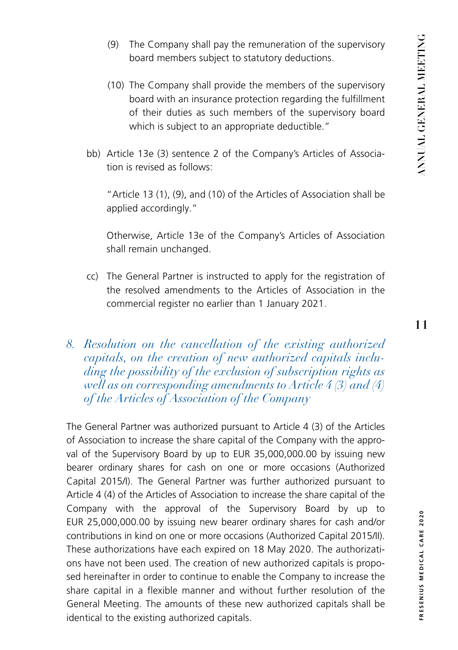- <span id="page-10-0"></span>(9) The Company shall pay the remuneration of the supervisory board members subject to statutory deductions.
- (10) The Company shall provide the members of the supervisory board with an insurance protection regarding the fulfillment of their duties as such members of the supervisory board which is subject to an appropriate deductible."
- bb) Article 13e (3) sentence 2 of the Company's Articles of Association is revised as follows:

"Article 13 (1), (9), and (10) of the Articles of Association shall be applied accordingly."

Otherwise, Article 13e of the Company's Articles of Association shall remain unchanged.

- cc) The General Partner is instructed to apply for the registration of the resolved amendments to the Articles of Association in the commercial register no earlier than 1 January 2021.
- *8. Resolution on the cancellation of the existing authorized capitals, on the creation of new authorized capitals including the possibility of the exclusion of subscription rights as well as on corresponding amendments to Article 4 (3) and (4) of the Articles of Association of the Company*

The General Partner was authorized pursuant to Article 4 (3) of the Articles of Association to increase the share capital of the Company with the approval of the Supervisory Board by up to EUR 35,000,000.00 by issuing new bearer ordinary shares for cash on one or more occasions (Authorized Capital 2015/I). The General Partner was further authorized pursuant to Article 4 (4) of the Articles of Association to increase the share capital of the Company with the approval of the Supervisory Board by up to EUR 25,000,000.00 by issuing new bearer ordinary shares for cash and/or contributions in kind on one or more occasions (Authorized Capital 2015/II). These authorizations have each expired on 18 May 2020. The authorizations have not been used. The creation of new authorized capitals is proposed hereinafter in order to continue to enable the Company to increase the share capital in a flexible manner and without further resolution of the General Meeting. The amounts of these new authorized capitals shall be identical to the existing authorized capitals.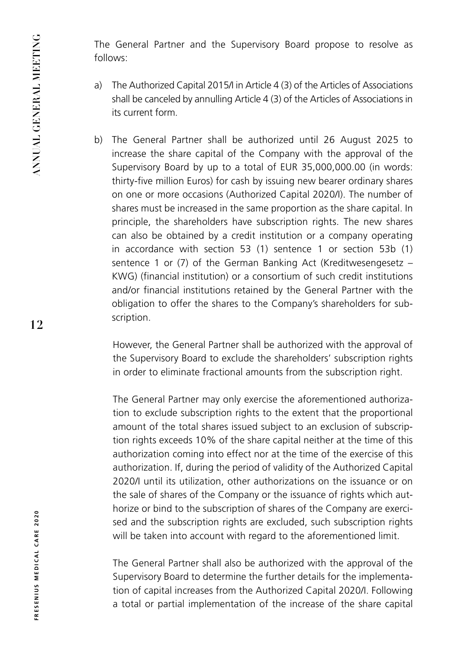The General Partner and the Supervisory Board propose to resolve as follows:

- a) The Authorized Capital 2015/I in Article 4 (3) of the Articles of Associations shall be canceled by annulling Article 4 (3) of the Articles of Associations in its current form.
- b) The General Partner shall be authorized until 26 August 2025 to increase the share capital of the Company with the approval of the Supervisory Board by up to a total of EUR 35,000,000.00 (in words: thirty-five million Euros) for cash by issuing new bearer ordinary shares on one or more occasions (Authorized Capital 2020/I). The number of shares must be increased in the same proportion as the share capital. In principle, the shareholders have subscription rights. The new shares can also be obtained by a credit institution or a company operating in accordance with section 53 (1) sentence 1 or section 53b (1) sentence 1 or (7) of the German Banking Act (Kreditwesengesetz – KWG) (financial institution) or a consortium of such credit institutions and/or financial institutions retained by the General Partner with the obligation to offer the shares to the Company's shareholders for subscription.

However, the General Partner shall be authorized with the approval of the Supervisory Board to exclude the shareholders' subscription rights in order to eliminate fractional amounts from the subscription right.

The General Partner may only exercise the aforementioned authorization to exclude subscription rights to the extent that the proportional amount of the total shares issued subject to an exclusion of subscription rights exceeds 10% of the share capital neither at the time of this authorization coming into effect nor at the time of the exercise of this authorization. If, during the period of validity of the Authorized Capital 2020/I until its utilization, other authorizations on the issuance or on the sale of shares of the Company or the issuance of rights which authorize or bind to the subscription of shares of the Company are exercised and the subscription rights are excluded, such subscription rights will be taken into account with regard to the aforementioned limit.

The General Partner shall also be authorized with the approval of the Supervisory Board to determine the further details for the implementation of capital increases from the Authorized Capital 2020/I. Following a total or partial implementation of the increase of the share capital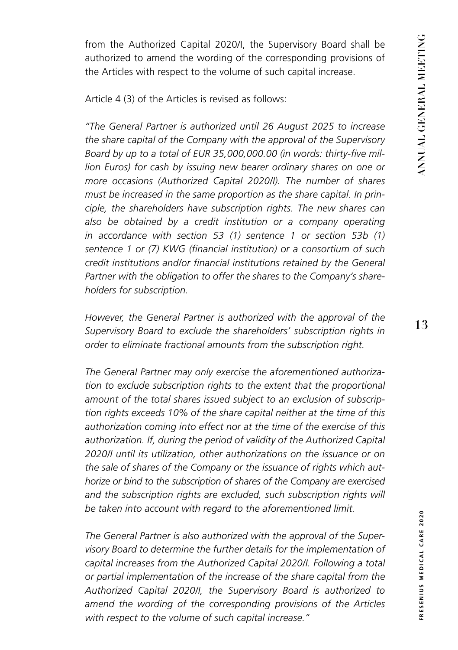from the Authorized Capital 2020/I, the Supervisory Board shall be authorized to amend the wording of the corresponding provisions of the Articles with respect to the volume of such capital increase.

Article 4 (3) of the Articles is revised as follows:

*"The General Partner is authorized until 26 August 2025 to increase the share capital of the Company with the approval of the Supervisory Board by up to a total of EUR 35,000,000.00 (in words: thirty-five million Euros) for cash by issuing new bearer ordinary shares on one or more occasions (Authorized Capital 2020/I). The number of shares must be increased in the same proportion as the share capital. In principle, the shareholders have subscription rights. The new shares can*  also be obtained by a credit institution or a company operating *in accordance with section 53 (1) sentence 1 or section 53b (1) sentence 1 or (7) KWG (financial institution) or a consortium of such credit institutions and/or financial institutions retained by the General Partner with the obligation to offer the shares to the Company's shareholders for subscription.*

*However, the General Partner is authorized with the approval of the Supervisory Board to exclude the shareholders' subscription rights in order to eliminate fractional amounts from the subscription right.*

*The General Partner may only exercise the aforementioned authorization to exclude subscription rights to the extent that the proportional amount of the total shares issued subject to an exclusion of subscription rights exceeds 10% of the share capital neither at the time of this authorization coming into effect nor at the time of the exercise of this authorization. If, during the period of validity of the Authorized Capital 2020/I until its utilization, other authorizations on the issuance or on the sale of shares of the Company or the issuance of rights which authorize or bind to the subscription of shares of the Company are exercised*  and the subscription rights are excluded, such subscription rights will *be taken into account with regard to the aforementioned limit.*

*The General Partner is also authorized with the approval of the Supervisory Board to determine the further details for the implementation of capital increases from the Authorized Capital 2020/I. Following a total or partial implementation of the increase of the share capital from the Authorized Capital 2020/I, the Supervisory Board is authorized to amend the wording of the corresponding provisions of the Articles with respect to the volume of such capital increase."*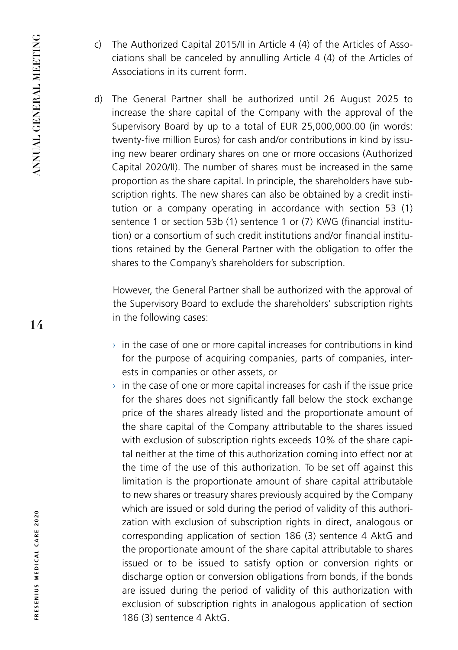- c) The Authorized Capital 2015/II in Article 4 (4) of the Articles of Associations shall be canceled by annulling Article 4 (4) of the Articles of Associations in its current form.
- d) The General Partner shall be authorized until 26 August 2025 to increase the share capital of the Company with the approval of the Supervisory Board by up to a total of EUR 25,000,000.00 (in words: twenty-five million Euros) for cash and/or contributions in kind by issuing new bearer ordinary shares on one or more occasions (Authorized Capital 2020/II). The number of shares must be increased in the same proportion as the share capital. In principle, the shareholders have subscription rights. The new shares can also be obtained by a credit institution or a company operating in accordance with section 53 (1) sentence 1 or section 53b (1) sentence 1 or (7) KWG (financial institution) or a consortium of such credit institutions and/or financial institutions retained by the General Partner with the obligation to offer the shares to the Company's shareholders for subscription.

However, the General Partner shall be authorized with the approval of the Supervisory Board to exclude the shareholders' subscription rights in the following cases:

- $\rightarrow$  in the case of one or more capital increases for contributions in kind for the purpose of acquiring companies, parts of companies, interests in companies or other assets, or
- $\rightarrow$  in the case of one or more capital increases for cash if the issue price for the shares does not significantly fall below the stock exchange price of the shares already listed and the proportionate amount of the share capital of the Company attributable to the shares issued with exclusion of subscription rights exceeds 10% of the share capital neither at the time of this authorization coming into effect nor at the time of the use of this authorization. To be set off against this limitation is the proportionate amount of share capital attributable to new shares or treasury shares previously acquired by the Company which are issued or sold during the period of validity of this authorization with exclusion of subscription rights in direct, analogous or corresponding application of section 186 (3) sentence 4 AktG and the proportionate amount of the share capital attributable to shares issued or to be issued to satisfy option or conversion rights or discharge option or conversion obligations from bonds, if the bonds are issued during the period of validity of this authorization with exclusion of subscription rights in analogous application of section 186 (3) sentence 4 AktG.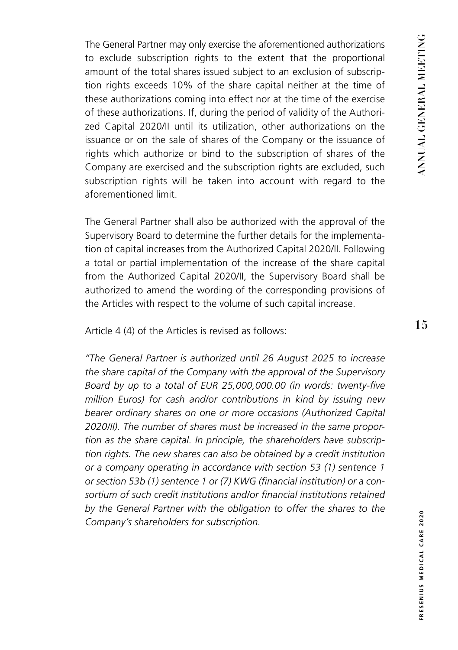The General Partner may only exercise the aforementioned authorizations to exclude subscription rights to the extent that the proportional amount of the total shares issued subject to an exclusion of subscription rights exceeds 10% of the share capital neither at the time of these authorizations coming into effect nor at the time of the exercise of these authorizations. If, during the period of validity of the Authorized Capital 2020/II until its utilization, other authorizations on the issuance or on the sale of shares of the Company or the issuance of rights which authorize or bind to the subscription of shares of the Company are exercised and the subscription rights are excluded, such subscription rights will be taken into account with regard to the aforementioned limit.

The General Partner shall also be authorized with the approval of the Supervisory Board to determine the further details for the implementation of capital increases from the Authorized Capital 2020/II. Following a total or partial implementation of the increase of the share capital from the Authorized Capital 2020/II, the Supervisory Board shall be authorized to amend the wording of the corresponding provisions of the Articles with respect to the volume of such capital increase.

Article 4 (4) of the Articles is revised as follows:

*"The General Partner is authorized until 26 August 2025 to increase the share capital of the Company with the approval of the Supervisory Board by up to a total of EUR 25,000,000.00 (in words: twenty-five million Euros) for cash and/or contributions in kind by issuing new bearer ordinary shares on one or more occasions (Authorized Capital 2020/II). The number of shares must be increased in the same proportion as the share capital. In principle, the shareholders have subscription rights. The new shares can also be obtained by a credit institution or a company operating in accordance with section 53 (1) sentence 1 or section 53b (1) sentence 1 or (7) KWG (financial institution) or a consortium of such credit institutions and/or financial institutions retained by the General Partner with the obligation to offer the shares to the Company's shareholders for subscription.*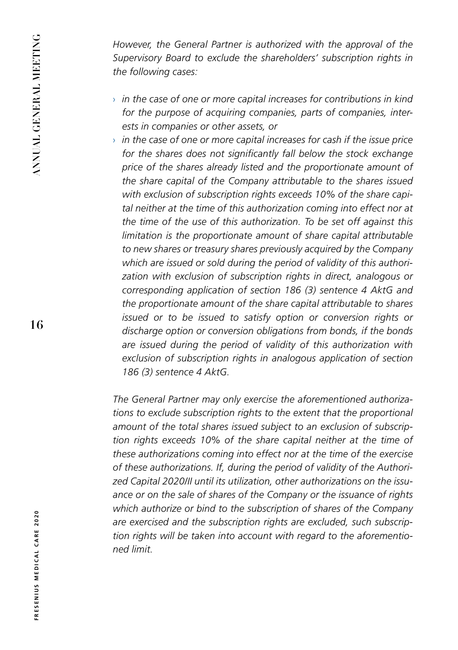*However, the General Partner is authorized with the approval of the Supervisory Board to exclude the shareholders' subscription rights in the following cases:*

- › *in the case of one or more capital increases for contributions in kind for the purpose of acquiring companies, parts of companies, interests in companies or other assets, or*
- › *in the case of one or more capital increases for cash if the issue price for the shares does not significantly fall below the stock exchange price of the shares already listed and the proportionate amount of the share capital of the Company attributable to the shares issued with exclusion of subscription rights exceeds 10% of the share capital neither at the time of this authorization coming into effect nor at the time of the use of this authorization. To be set off against this limitation is the proportionate amount of share capital attributable to new shares or treasury shares previously acquired by the Company which are issued or sold during the period of validity of this authorization with exclusion of subscription rights in direct, analogous or corresponding application of section 186 (3) sentence 4 AktG and the proportionate amount of the share capital attributable to shares issued or to be issued to satisfy option or conversion rights or discharge option or conversion obligations from bonds, if the bonds are issued during the period of validity of this authorization with exclusion of subscription rights in analogous application of section 186 (3) sentence 4 AktG.*

*The General Partner may only exercise the aforementioned authorizations to exclude subscription rights to the extent that the proportional amount of the total shares issued subject to an exclusion of subscription rights exceeds 10% of the share capital neither at the time of these authorizations coming into effect nor at the time of the exercise of these authorizations. If, during the period of validity of the Authorized Capital 2020/II until its utilization, other authorizations on the issuance or on the sale of shares of the Company or the issuance of rights which authorize or bind to the subscription of shares of the Company are exercised and the subscription rights are excluded, such subscription rights will be taken into account with regard to the aforementioned limit.*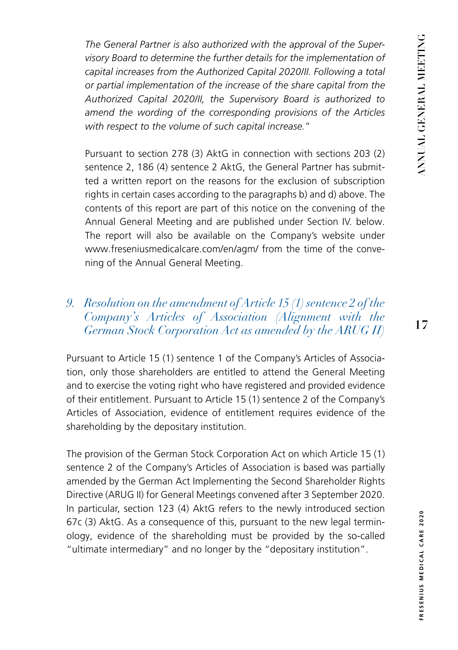<span id="page-16-0"></span>*The General Partner is also authorized with the approval of the Supervisory Board to determine the further details for the implementation of capital increases from the Authorized Capital 2020/II. Following a total or partial implementation of the increase of the share capital from the Authorized Capital 2020/II, the Supervisory Board is authorized to*  amend the wording of the corresponding provisions of the Articles *with respect to the volume of such capital increase.*"

Pursuant to section 278 (3) AktG in connection with sections 203 (2) sentence 2, 186 (4) sentence 2 AktG, the General Partner has submitted a written report on the reasons for the exclusion of subscription rights in certain cases according to the paragraphs b) and d) above. The contents of this report are part of this notice on the convening of the Annual General Meeting and are published under Section IV. below. The report will also be available on the Company's website under www.freseniusmedicalcare.com/en/agm/ from the time of the convening of the Annual General Meeting.

## *9. Resolution on the amendment of Article 15 (1) sentence 2 of the Company's Articles of Association (Alignment with the German Stock Corporation Act as amended by the ARUG II)*

Pursuant to Article 15 (1) sentence 1 of the Company's Articles of Association, only those shareholders are entitled to attend the General Meeting and to exercise the voting right who have registered and provided evidence of their entitlement. Pursuant to Article 15 (1) sentence 2 of the Company's Articles of Association, evidence of entitlement requires evidence of the shareholding by the depositary institution.

The provision of the German Stock Corporation Act on which Article 15 (1) sentence 2 of the Company's Articles of Association is based was partially amended by the German Act Implementing the Second Shareholder Rights Directive (ARUG II) for General Meetings convened after 3 September 2020. In particular, section 123 (4) AktG refers to the newly introduced section 67c (3) AktG. As a consequence of this, pursuant to the new legal terminology, evidence of the shareholding must be provided by the so-called "ultimate intermediary" and no longer by the "depositary institution".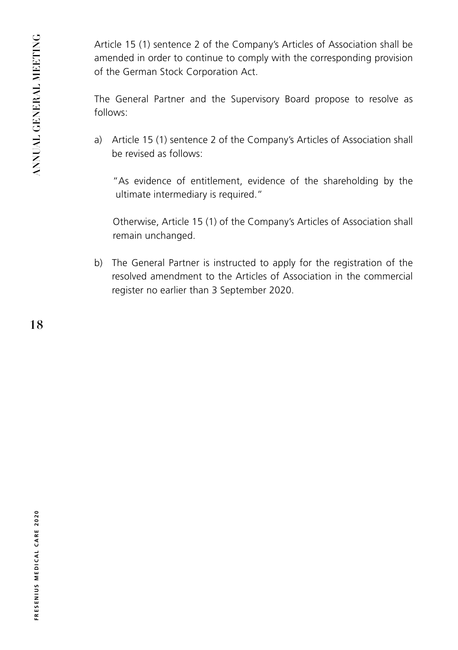Article 15 (1) sentence 2 of the Company's Articles of Association shall be amended in order to continue to comply with the corresponding provision of the German Stock Corporation Act.

The General Partner and the Supervisory Board propose to resolve as follows:

a) Article 15 (1) sentence 2 of the Company's Articles of Association shall be revised as follows:

"As evidence of entitlement, evidence of the shareholding by the ultimate intermediary is required."

Otherwise, Article 15 (1) of the Company's Articles of Association shall remain unchanged.

b) The General Partner is instructed to apply for the registration of the resolved amendment to the Articles of Association in the commercial register no earlier than 3 September 2020.

**18**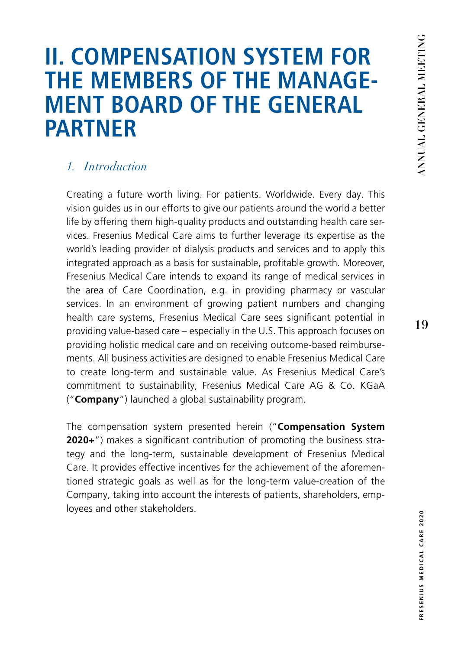# <span id="page-18-0"></span>**II. COMPENSATION SYSTEM FOR THE MEMBERS OF THE MANAGE- MENT BOARD OF THE GENERAL PARTNER**

## *1. Introduction*

Creating a future worth living. For patients. Worldwide. Every day. This vision guides us in our efforts to give our patients around the world a better life by offering them high-quality products and outstanding health care services. Fresenius Medical Care aims to further leverage its expertise as the world's leading provider of dialysis products and services and to apply this integrated approach as a basis for sustainable, profitable growth. Moreover, Fresenius Medical Care intends to expand its range of medical services in the area of Care Coordination, e.g. in providing pharmacy or vascular services. In an environment of growing patient numbers and changing health care systems, Fresenius Medical Care sees significant potential in providing value-based care – especially in the U.S. This approach focuses on providing holistic medical care and on receiving outcome-based reimbursements. All business activities are designed to enable Fresenius Medical Care to create long-term and sustainable value. As Fresenius Medical Care's commitment to sustainability, Fresenius Medical Care AG & Co. KGaA ("**Company**") launched a global sustainability program.

The compensation system presented herein ("**Compensation System 2020+**") makes a significant contribution of promoting the business strategy and the long-term, sustainable development of Fresenius Medical Care. It provides effective incentives for the achievement of the aforementioned strategic goals as well as for the long-term value-creation of the Company, taking into account the interests of patients, shareholders, employees and other stakeholders.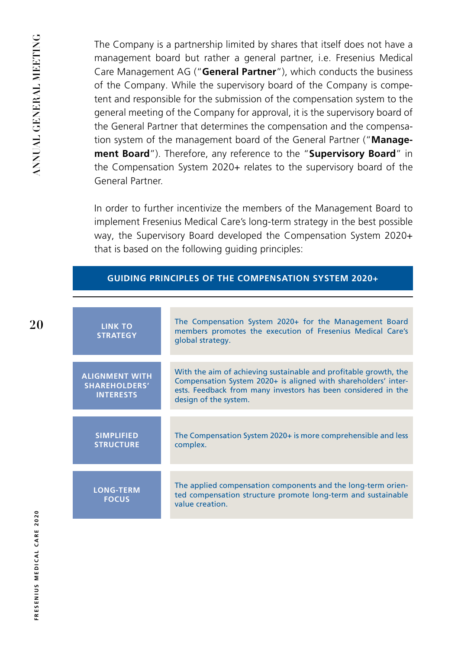The Company is a partnership limited by shares that itself does not have a management board but rather a general partner, i.e. Fresenius Medical Care Management AG ("**General Partner**"), which conducts the business of the Company. While the supervisory board of the Company is competent and responsible for the submission of the compensation system to the general meeting of the Company for approval, it is the supervisory board of the General Partner that determines the compensation and the compensation system of the management board of the General Partner ("**Management Board**"). Therefore, any reference to the "**Supervisory Board**" in the Compensation System 2020+ relates to the supervisory board of the General Partner.

In order to further incentivize the members of the Management Board to implement Fresenius Medical Care's long-term strategy in the best possible way, the Supervisory Board developed the Compensation System 2020+ that is based on the following guiding principles:

| GUIDING PRINCIPLES OF THE COMPENSATION SYSTEM 2020+ $^{\circ}$ |
|----------------------------------------------------------------|
|                                                                |

| <b>LINK TO</b><br><b>STRATEGY</b>                                 | The Compensation System 2020+ for the Management Board<br>members promotes the execution of Fresenius Medical Care's<br>global strategy.                                                                                     |
|-------------------------------------------------------------------|------------------------------------------------------------------------------------------------------------------------------------------------------------------------------------------------------------------------------|
| <b>ALIGNMENT WITH</b><br><b>SHAREHOLDERS'</b><br><b>INTERESTS</b> | With the aim of achieving sustainable and profitable growth, the<br>Compensation System 2020+ is aligned with shareholders' inter-<br>ests. Feedback from many investors has been considered in the<br>design of the system. |
| <b>SIMPLIFIED</b><br><b>STRUCTURE</b>                             | The Compensation System 2020+ is more comprehensible and less<br>complex.                                                                                                                                                    |
| <b>LONG-TERM</b><br><b>FOCUS</b>                                  | The applied compensation components and the long-term orien-<br>ted compensation structure promote long-term and sustainable<br>value creation.                                                                              |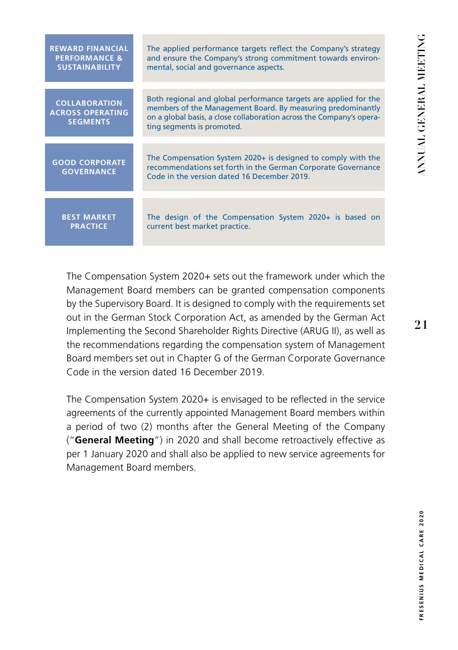| <b>REWARD FINANCIAL</b>                                            | The applied performance targets reflect the Company's strategy                                                                                                                                                                        |  |
|--------------------------------------------------------------------|---------------------------------------------------------------------------------------------------------------------------------------------------------------------------------------------------------------------------------------|--|
| <b>PERFORMANCE &amp;</b>                                           | and ensure the Company's strong commitment towards environ-                                                                                                                                                                           |  |
| <b>SUSTAINABILITY</b>                                              | mental, social and governance aspects.                                                                                                                                                                                                |  |
| <b>COLLABORATION</b><br><b>ACROSS OPERATING</b><br><b>SEGMENTS</b> | Both regional and global performance targets are applied for the<br>members of the Management Board. By measuring predominantly<br>on a global basis, a close collaboration across the Company's opera-<br>ting segments is promoted. |  |
| <b>GOOD CORPORATE</b><br><b>GOVERNANCE</b>                         | The Compensation System 2020+ is designed to comply with the<br>recommendations set forth in the German Corporate Governance<br>Code in the version dated 16 December 2019.                                                           |  |
| <b>BEST MARKET</b>                                                 | The design of the Compensation System 2020+ is based on                                                                                                                                                                               |  |
| <b>PRACTICE</b>                                                    | current best market practice.                                                                                                                                                                                                         |  |

The Compensation System 2020+ sets out the framework under which the Management Board members can be granted compensation components by the Supervisory Board. It is designed to comply with the requirements set out in the German Stock Corporation Act, as amended by the German Act Implementing the Second Shareholder Rights Directive (ARUG II), as well as the recommendations regarding the compensation system of Management Board members set out in Chapter G of the German Corporate Governance Code in the version dated 16 December 2019.

The Compensation System 2020+ is envisaged to be reflected in the service agreements of the currently appointed Management Board members within a period of two (2) months after the General Meeting of the Company ("**General Meeting**") in 2020 and shall become retroactively effective as per 1 January 2020 and shall also be applied to new service agreements for Management Board members.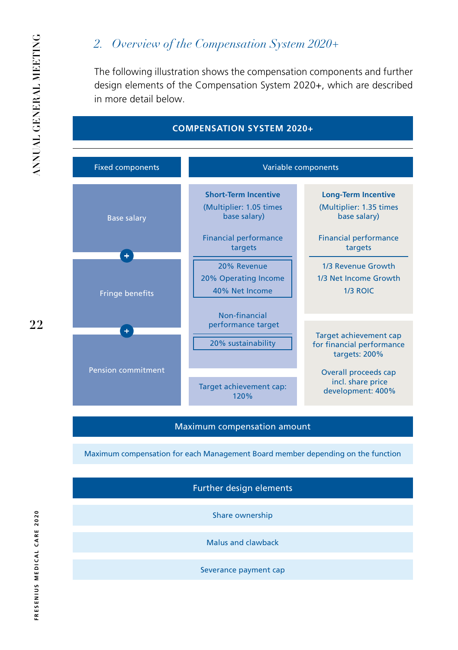# *2. Overview of the Compensation System 2020+*

The following illustration shows the compensation components and further design elements of the Compensation System 2020+, which are described in more detail below.

| <b>COMPENSATION SYSTEM 2020+</b>                  |                                                                                                                                                                             |                                                                                                                                                                                     |
|---------------------------------------------------|-----------------------------------------------------------------------------------------------------------------------------------------------------------------------------|-------------------------------------------------------------------------------------------------------------------------------------------------------------------------------------|
| <b>Fixed components</b>                           | Variable components                                                                                                                                                         |                                                                                                                                                                                     |
| <b>Base salary</b><br>÷<br><b>Fringe benefits</b> | <b>Short-Term Incentive</b><br>(Multiplier: 1.05 times)<br>base salary)<br><b>Financial performance</b><br>targets<br>20% Revenue<br>20% Operating Income<br>40% Net Income | <b>Long-Term Incentive</b><br>(Multiplier: 1.35 times)<br>base salary)<br><b>Financial performance</b><br>targets<br>1/3 Revenue Growth<br>1/3 Net Income Growth<br><b>1/3 ROIC</b> |
| $\bullet$<br><b>Pension commitment</b>            | Non-financial<br>performance target<br>20% sustainability<br>Target achievement cap:<br>120%                                                                                | Target achievement cap<br>for financial performance<br>targets: 200%<br><b>Overall proceeds cap</b><br>incl. share price<br>development: 400%                                       |

#### Maximum compensation amount

Maximum compensation for each Management Board member depending on the function

Further design elements

Share ownership

Malus and clawback

Severance payment cap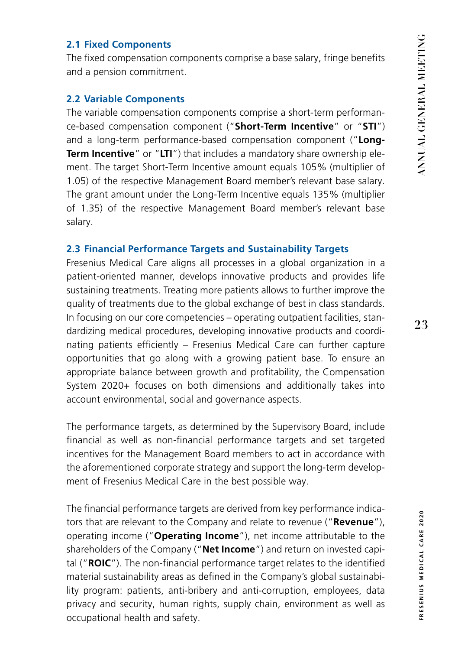#### **2.1 Fixed Components**

The fixed compensation components comprise a base salary, fringe benefits and a pension commitment.

#### **2.2 Variable Components**

The variable compensation components comprise a short-term performance-based compensation component ("**Short-Term Incentive**" or "**STI**") and a long-term performance-based compensation component ("**Long-Term Incentive**" or "**LTI**") that includes a mandatory share ownership element. The target Short-Term Incentive amount equals 105% (multiplier of 1.05) of the respective Management Board member's relevant base salary. The grant amount under the Long-Term Incentive equals 135% (multiplier of 1.35) of the respective Management Board member's relevant base salary.

#### **2.3 Financial Performance Targets and Sustainability Targets**

Fresenius Medical Care aligns all processes in a global organization in a patient-oriented manner, develops innovative products and provides life sustaining treatments. Treating more patients allows to further improve the quality of treatments due to the global exchange of best in class standards. In focusing on our core competencies – operating outpatient facilities, standardizing medical procedures, developing innovative products and coordinating patients efficiently – Fresenius Medical Care can further capture opportunities that go along with a growing patient base. To ensure an appropriate balance between growth and profitability, the Compensation System 2020+ focuses on both dimensions and additionally takes into account environmental, social and governance aspects.

The performance targets, as determined by the Supervisory Board, include financial as well as non-financial performance targets and set targeted incentives for the Management Board members to act in accordance with the aforementioned corporate strategy and support the long-term development of Fresenius Medical Care in the best possible way.

The financial performance targets are derived from key performance indicators that are relevant to the Company and relate to revenue ("**Revenue**"), operating income ("**Operating Income**"), net income attributable to the shareholders of the Company ("**Net Income**") and return on invested capital ("**ROIC**"). The non-financial performance target relates to the identified material sustainability areas as defined in the Company's global sustainability program: patients, anti-bribery and anti-corruption, employees, data privacy and security, human rights, supply chain, environment as well as occupational health and safety.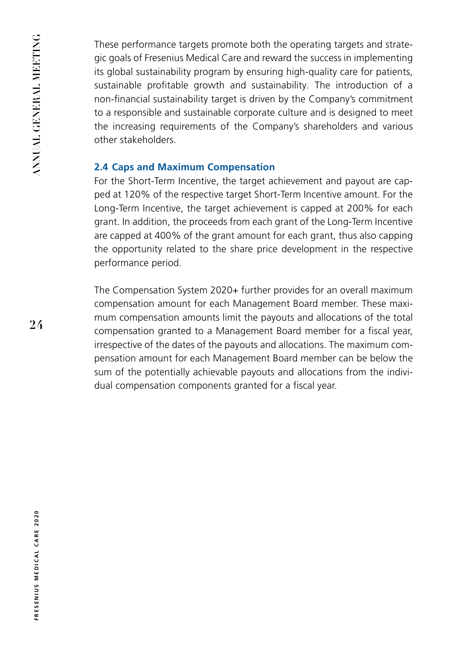These performance targets promote both the operating targets and strategic goals of Fresenius Medical Care and reward the success in implementing its global sustainability program by ensuring high-quality care for patients, sustainable profitable growth and sustainability. The introduction of a non-financial sustainability target is driven by the Company's commitment to a responsible and sustainable corporate culture and is designed to meet the increasing requirements of the Company's shareholders and various other stakeholders.

#### **2.4 Caps and Maximum Compensation**

For the Short-Term Incentive, the target achievement and payout are capped at 120% of the respective target Short-Term Incentive amount. For the Long-Term Incentive, the target achievement is capped at 200% for each grant. In addition, the proceeds from each grant of the Long-Term Incentive are capped at 400% of the grant amount for each grant, thus also capping the opportunity related to the share price development in the respective performance period.

The Compensation System 2020+ further provides for an overall maximum compensation amount for each Management Board member. These maximum compensation amounts limit the payouts and allocations of the total compensation granted to a Management Board member for a fiscal year, irrespective of the dates of the payouts and allocations. The maximum compensation amount for each Management Board member can be below the sum of the potentially achievable payouts and allocations from the individual compensation components granted for a fiscal year.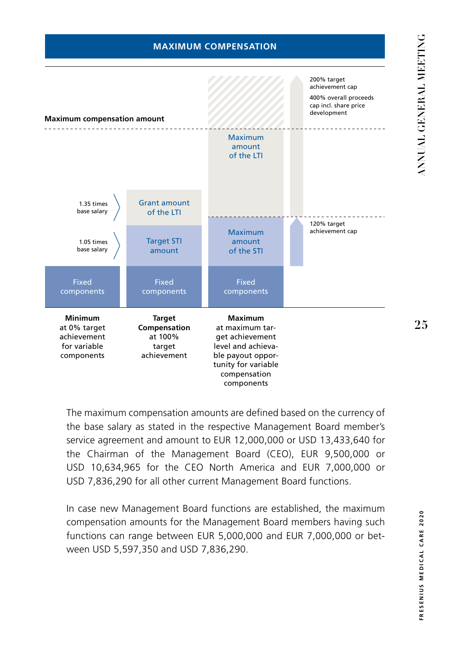#### **MAXIMUM COMPENSATION**



The maximum compensation amounts are defined based on the currency of the base salary as stated in the respective Management Board member's service agreement and amount to EUR 12,000,000 or USD 13,433,640 for the Chairman of the Management Board (CEO), EUR 9,500,000 or USD 10,634,965 for the CEO North America and EUR 7,000,000 or USD 7,836,290 for all other current Management Board functions.

In case new Management Board functions are established, the maximum compensation amounts for the Management Board members having such functions can range between EUR 5,000,000 and EUR 7,000,000 or between USD 5,597,350 and USD 7,836,290.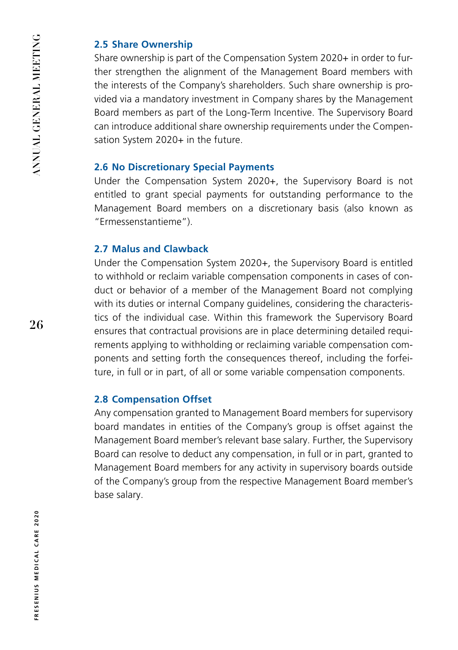#### **2.5 Share Ownership**

Share ownership is part of the Compensation System 2020+ in order to further strengthen the alignment of the Management Board members with the interests of the Company's shareholders. Such share ownership is provided via a mandatory investment in Company shares by the Management Board members as part of the Long-Term Incentive. The Supervisory Board can introduce additional share ownership requirements under the Compensation System 2020+ in the future.

#### **2.6 No Discretionary Special Payments**

Under the Compensation System 2020+, the Supervisory Board is not entitled to grant special payments for outstanding performance to the Management Board members on a discretionary basis (also known as "Ermessenstantieme").

#### **2.7 Malus and Clawback**

Under the Compensation System 2020+, the Supervisory Board is entitled to withhold or reclaim variable compensation components in cases of conduct or behavior of a member of the Management Board not complying with its duties or internal Company guidelines, considering the characteristics of the individual case. Within this framework the Supervisory Board ensures that contractual provisions are in place determining detailed requirements applying to withholding or reclaiming variable compensation components and setting forth the consequences thereof, including the forfeiture, in full or in part, of all or some variable compensation components.

#### **2.8 Compensation Offset**

Any compensation granted to Management Board members for supervisory board mandates in entities of the Company's group is offset against the Management Board member's relevant base salary. Further, the Supervisory Board can resolve to deduct any compensation, in full or in part, granted to Management Board members for any activity in supervisory boards outside of the Company's group from the respective Management Board member's base salary.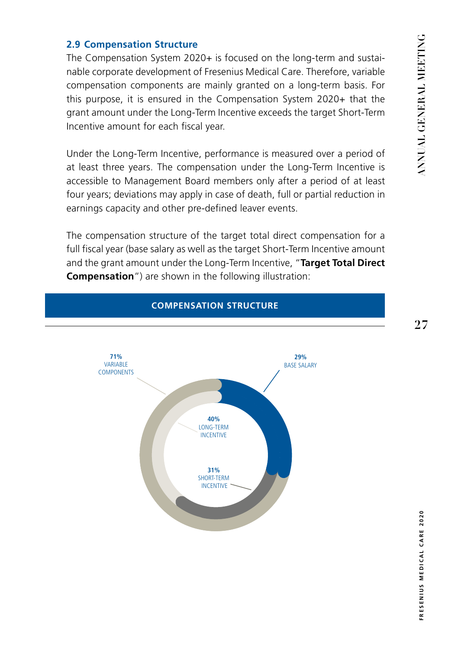**27**

#### **2.9 Compensation Structure**

The Compensation System 2020+ is focused on the long-term and sustainable corporate development of Fresenius Medical Care. Therefore, variable compensation components are mainly granted on a long-term basis. For this purpose, it is ensured in the Compensation System 2020+ that the grant amount under the Long-Term Incentive exceeds the target Short-Term Incentive amount for each fiscal year.

Under the Long-Term Incentive, performance is measured over a period of at least three years. The compensation under the Long-Term Incentive is accessible to Management Board members only after a period of at least four years; deviations may apply in case of death, full or partial reduction in earnings capacity and other pre-defined leaver events.

The compensation structure of the target total direct compensation for a full fiscal year (base salary as well as the target Short-Term Incentive amount and the grant amount under the Long-Term Incentive, "**Target Total Direct Compensation**") are shown in the following illustration:

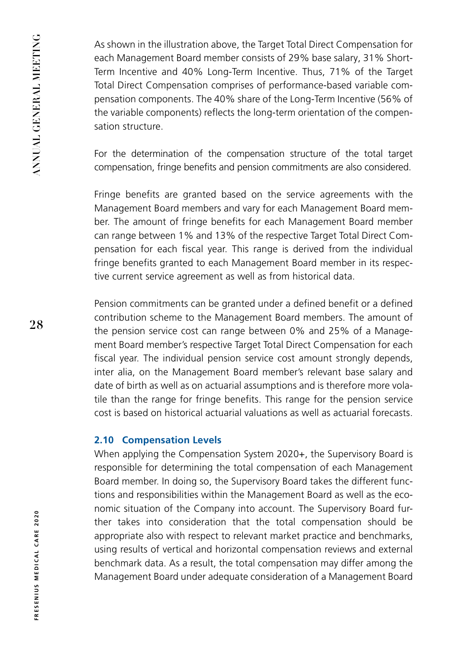As shown in the illustration above, the Target Total Direct Compensation for each Management Board member consists of 29% base salary, 31% Short-Term Incentive and 40% Long-Term Incentive. Thus, 71% of the Target Total Direct Compensation comprises of performance-based variable compensation components. The 40% share of the Long-Term Incentive (56% of the variable components) reflects the long-term orientation of the compensation structure.

For the determination of the compensation structure of the total target compensation, fringe benefits and pension commitments are also considered.

Fringe benefits are granted based on the service agreements with the Management Board members and vary for each Management Board member. The amount of fringe benefits for each Management Board member can range between 1% and 13% of the respective Target Total Direct Compensation for each fiscal year. This range is derived from the individual fringe benefits granted to each Management Board member in its respective current service agreement as well as from historical data.

Pension commitments can be granted under a defined benefit or a defined contribution scheme to the Management Board members. The amount of the pension service cost can range between 0% and 25% of a Management Board member's respective Target Total Direct Compensation for each fiscal year. The individual pension service cost amount strongly depends, inter alia, on the Management Board member's relevant base salary and date of birth as well as on actuarial assumptions and is therefore more volatile than the range for fringe benefits. This range for the pension service cost is based on historical actuarial valuations as well as actuarial forecasts.

#### **2.10 Compensation Levels**

When applying the Compensation System 2020+, the Supervisory Board is responsible for determining the total compensation of each Management Board member. In doing so, the Supervisory Board takes the different functions and responsibilities within the Management Board as well as the economic situation of the Company into account. The Supervisory Board further takes into consideration that the total compensation should be appropriate also with respect to relevant market practice and benchmarks, using results of vertical and horizontal compensation reviews and external benchmark data. As a result, the total compensation may differ among the Management Board under adequate consideration of a Management Board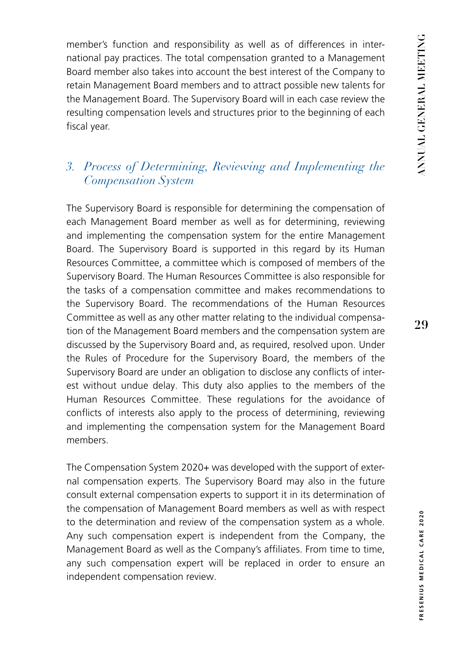member's function and responsibility as well as of differences in international pay practices. The total compensation granted to a Management Board member also takes into account the best interest of the Company to retain Management Board members and to attract possible new talents for the Management Board. The Supervisory Board will in each case review the resulting compensation levels and structures prior to the beginning of each fiscal year.

# *3. Process of Determining, Reviewing and Implementing the Compensation System*

The Supervisory Board is responsible for determining the compensation of each Management Board member as well as for determining, reviewing and implementing the compensation system for the entire Management Board. The Supervisory Board is supported in this regard by its Human Resources Committee, a committee which is composed of members of the Supervisory Board. The Human Resources Committee is also responsible for the tasks of a compensation committee and makes recommendations to the Supervisory Board. The recommendations of the Human Resources Committee as well as any other matter relating to the individual compensation of the Management Board members and the compensation system are discussed by the Supervisory Board and, as required, resolved upon. Under the Rules of Procedure for the Supervisory Board, the members of the Supervisory Board are under an obligation to disclose any conflicts of interest without undue delay. This duty also applies to the members of the Human Resources Committee. These regulations for the avoidance of conflicts of interests also apply to the process of determining, reviewing and implementing the compensation system for the Management Board members.

The Compensation System 2020+ was developed with the support of external compensation experts. The Supervisory Board may also in the future consult external compensation experts to support it in its determination of the compensation of Management Board members as well as with respect to the determination and review of the compensation system as a whole. Any such compensation expert is independent from the Company, the Management Board as well as the Company's affiliates. From time to time, any such compensation expert will be replaced in order to ensure an independent compensation review.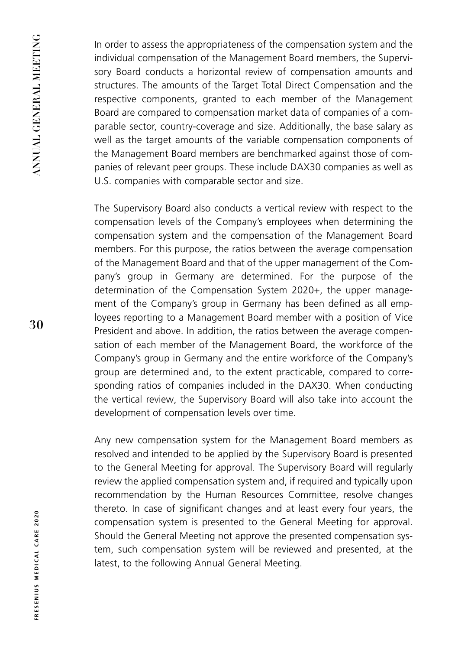In order to assess the appropriateness of the compensation system and the individual compensation of the Management Board members, the Supervisory Board conducts a horizontal review of compensation amounts and structures. The amounts of the Target Total Direct Compensation and the respective components, granted to each member of the Management Board are compared to compensation market data of companies of a comparable sector, country-coverage and size. Additionally, the base salary as well as the target amounts of the variable compensation components of the Management Board members are benchmarked against those of companies of relevant peer groups. These include DAX30 companies as well as U.S. companies with comparable sector and size.

The Supervisory Board also conducts a vertical review with respect to the compensation levels of the Company's employees when determining the compensation system and the compensation of the Management Board members. For this purpose, the ratios between the average compensation of the Management Board and that of the upper management of the Company's group in Germany are determined. For the purpose of the determination of the Compensation System 2020+, the upper management of the Company's group in Germany has been defined as all employees reporting to a Management Board member with a position of Vice President and above. In addition, the ratios between the average compensation of each member of the Management Board, the workforce of the Company's group in Germany and the entire workforce of the Company's group are determined and, to the extent practicable, compared to corresponding ratios of companies included in the DAX30. When conducting the vertical review, the Supervisory Board will also take into account the development of compensation levels over time.

Any new compensation system for the Management Board members as resolved and intended to be applied by the Supervisory Board is presented to the General Meeting for approval. The Supervisory Board will regularly review the applied compensation system and, if required and typically upon recommendation by the Human Resources Committee, resolve changes thereto. In case of significant changes and at least every four years, the compensation system is presented to the General Meeting for approval. Should the General Meeting not approve the presented compensation system, such compensation system will be reviewed and presented, at the latest, to the following Annual General Meeting.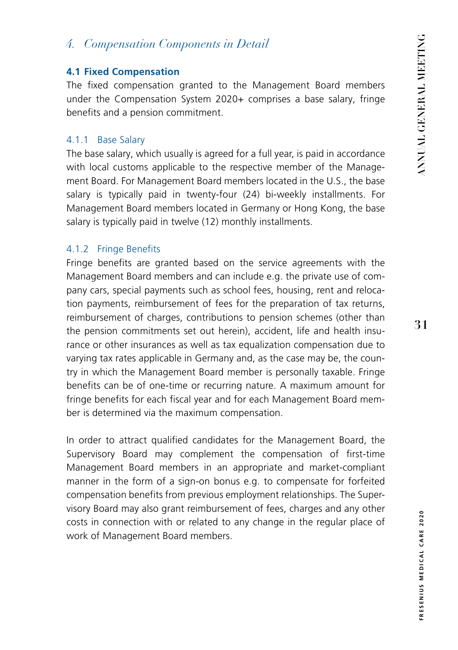## *4. Compensation Components in Detail*

#### **4.1 Fixed Compensation**

The fixed compensation granted to the Management Board members under the Compensation System 2020+ comprises a base salary, fringe benefits and a pension commitment.

#### 4.1.1 Base Salary

The base salary, which usually is agreed for a full year, is paid in accordance with local customs applicable to the respective member of the Management Board. For Management Board members located in the U.S., the base salary is typically paid in twenty-four (24) bi-weekly installments. For Management Board members located in Germany or Hong Kong, the base salary is typically paid in twelve (12) monthly installments.

#### 4.1.2 Fringe Benefits

Fringe benefits are granted based on the service agreements with the Management Board members and can include e.g. the private use of company cars, special payments such as school fees, housing, rent and relocation payments, reimbursement of fees for the preparation of tax returns, reimbursement of charges, contributions to pension schemes (other than the pension commitments set out herein), accident, life and health insurance or other insurances as well as tax equalization compensation due to varying tax rates applicable in Germany and, as the case may be, the country in which the Management Board member is personally taxable. Fringe benefits can be of one-time or recurring nature. A maximum amount for fringe benefits for each fiscal year and for each Management Board member is determined via the maximum compensation.

In order to attract qualified candidates for the Management Board, the Supervisory Board may complement the compensation of first-time Management Board members in an appropriate and market-compliant manner in the form of a sign-on bonus e.g. to compensate for forfeited compensation benefits from previous employment relationships. The Supervisory Board may also grant reimbursement of fees, charges and any other costs in connection with or related to any change in the regular place of work of Management Board members.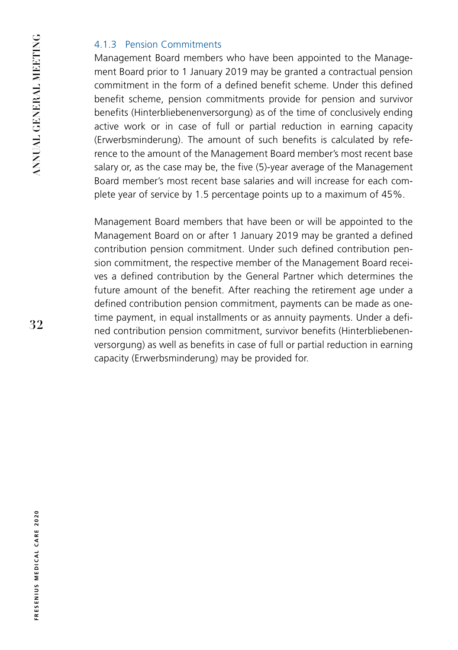#### 4.1.3 Pension Commitments

Management Board members who have been appointed to the Management Board prior to 1 January 2019 may be granted a contractual pension commitment in the form of a defined benefit scheme. Under this defined benefit scheme, pension commitments provide for pension and survivor benefits (Hinterbliebenenversorgung) as of the time of conclusively ending active work or in case of full or partial reduction in earning capacity (Erwerbsminderung). The amount of such benefits is calculated by reference to the amount of the Management Board member's most recent base salary or, as the case may be, the five (5)-year average of the Management Board member's most recent base salaries and will increase for each complete year of service by 1.5 percentage points up to a maximum of 45%.

Management Board members that have been or will be appointed to the Management Board on or after 1 January 2019 may be granted a defined contribution pension commitment. Under such defined contribution pension commitment, the respective member of the Management Board receives a defined contribution by the General Partner which determines the future amount of the benefit. After reaching the retirement age under a defined contribution pension commitment, payments can be made as onetime payment, in equal installments or as annuity payments. Under a defined contribution pension commitment, survivor benefits (Hinterbliebenenversorgung) as well as benefits in case of full or partial reduction in earning capacity (Erwerbsminderung) may be provided for.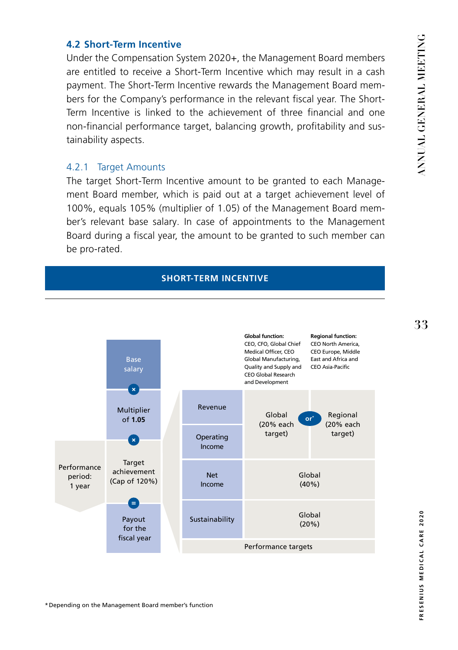**33**

#### **4.2 Short-Term Incentive**

Under the Compensation System 2020+, the Management Board members are entitled to receive a Short-Term Incentive which may result in a cash payment. The Short-Term Incentive rewards the Management Board members for the Company's performance in the relevant fiscal year. The Short-Term Incentive is linked to the achievement of three financial and one non-financial performance target, balancing growth, profitability and sustainability aspects.

#### 4.2.1 Target Amounts

The target Short-Term Incentive amount to be granted to each Management Board member, which is paid out at a target achievement level of 100%, equals 105% (multiplier of 1.05) of the Management Board member's relevant base salary. In case of appointments to the Management Board during a fiscal year, the amount to be granted to such member can be pro-rated.

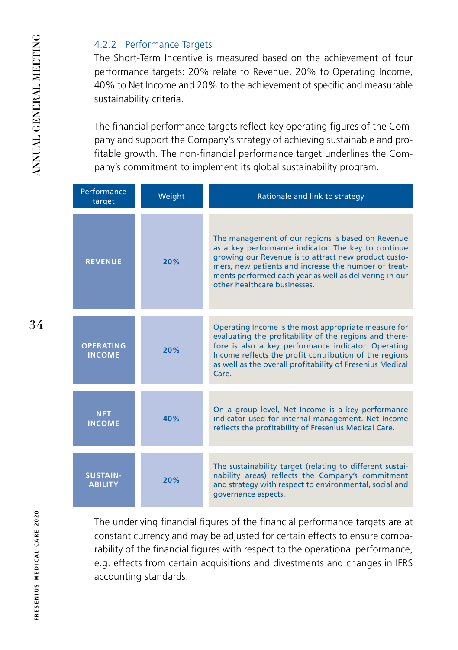#### 4.2.2 Performance Targets

The Short-Term Incentive is measured based on the achievement of four performance targets: 20% relate to Revenue, 20% to Operating Income, 40% to Net Income and 20% to the achievement of specific and measurable sustainability criteria.

The financial performance targets reflect key operating figures of the Company and support the Company's strategy of achieving sustainable and profitable growth. The non-financial performance target underlines the Company's commitment to implement its global sustainability program.

| Performance<br>target             | Weight | Rationale and link to strategy                                                                                                                                                                                                                                                                                     |
|-----------------------------------|--------|--------------------------------------------------------------------------------------------------------------------------------------------------------------------------------------------------------------------------------------------------------------------------------------------------------------------|
| <b>REVENUE</b>                    | 20%    | The management of our regions is based on Revenue<br>as a key performance indicator. The key to continue<br>growing our Revenue is to attract new product custo-<br>mers, new patients and increase the number of treat-<br>ments performed each year as well as delivering in our<br>other healthcare businesses. |
| <b>OPERATING</b><br><b>INCOME</b> | 20%    | Operating Income is the most appropriate measure for<br>evaluating the profitability of the regions and there-<br>fore is also a key performance indicator. Operating<br>Income reflects the profit contribution of the regions<br>as well as the overall profitability of Fresenius Medical<br>Care               |
| <b>NET</b><br><b>INCOME</b>       | 40%    | On a group level, Net Income is a key performance<br>indicator used for internal management. Net Income<br>reflects the profitability of Fresenius Medical Care.                                                                                                                                                   |
| <b>SUSTAIN-</b><br><b>ABILITY</b> | 20%    | The sustainability target (relating to different sustai-<br>nability areas) reflects the Company's commitment<br>and strategy with respect to environmental, social and<br>governance aspects.                                                                                                                     |

The underlying financial figures of the financial performance targets are at constant currency and may be adjusted for certain effects to ensure comparability of the financial figures with respect to the operational performance, e.g. effects from certain acquisitions and divestments and changes in IFRS accounting standards.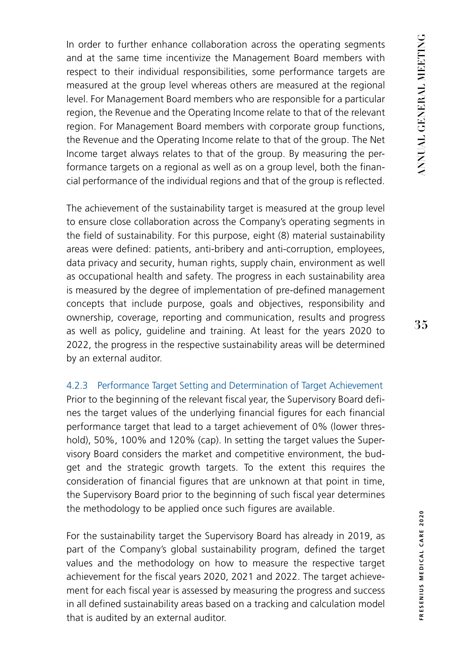In order to further enhance collaboration across the operating segments and at the same time incentivize the Management Board members with respect to their individual responsibilities, some performance targets are measured at the group level whereas others are measured at the regional level. For Management Board members who are responsible for a particular region, the Revenue and the Operating Income relate to that of the relevant region. For Management Board members with corporate group functions, the Revenue and the Operating Income relate to that of the group. The Net Income target always relates to that of the group. By measuring the performance targets on a regional as well as on a group level, both the financial performance of the individual regions and that of the group is reflected.

The achievement of the sustainability target is measured at the group level to ensure close collaboration across the Company's operating segments in the field of sustainability. For this purpose, eight (8) material sustainability areas were defined: patients, anti-bribery and anti-corruption, employees, data privacy and security, human rights, supply chain, environment as well as occupational health and safety. The progress in each sustainability area is measured by the degree of implementation of pre-defined management concepts that include purpose, goals and objectives, responsibility and ownership, coverage, reporting and communication, results and progress as well as policy, guideline and training. At least for the years 2020 to 2022, the progress in the respective sustainability areas will be determined by an external auditor.

4.2.3 Performance Target Setting and Determination of Target Achievement Prior to the beginning of the relevant fiscal year, the Supervisory Board defines the target values of the underlying financial figures for each financial performance target that lead to a target achievement of 0% (lower threshold), 50%, 100% and 120% (cap). In setting the target values the Supervisory Board considers the market and competitive environment, the budget and the strategic growth targets. To the extent this requires the consideration of financial figures that are unknown at that point in time, the Supervisory Board prior to the beginning of such fiscal year determines the methodology to be applied once such figures are available.

For the sustainability target the Supervisory Board has already in 2019, as part of the Company's global sustainability program, defined the target values and the methodology on how to measure the respective target achievement for the fiscal years 2020, 2021 and 2022. The target achievement for each fiscal year is assessed by measuring the progress and success in all defined sustainability areas based on a tracking and calculation model that is audited by an external auditor.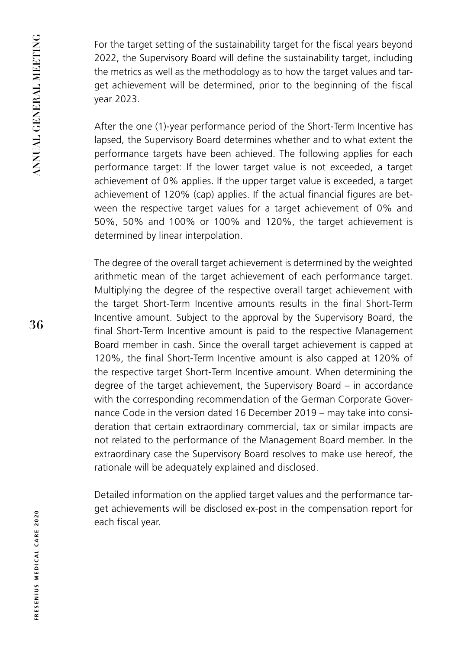For the target setting of the sustainability target for the fiscal years beyond 2022, the Supervisory Board will define the sustainability target, including the metrics as well as the methodology as to how the target values and target achievement will be determined, prior to the beginning of the fiscal year 2023.

After the one (1)-year performance period of the Short-Term Incentive has lapsed, the Supervisory Board determines whether and to what extent the performance targets have been achieved. The following applies for each performance target: If the lower target value is not exceeded, a target achievement of 0% applies. If the upper target value is exceeded, a target achievement of 120% (cap) applies. If the actual financial figures are between the respective target values for a target achievement of 0% and 50%, 50% and 100% or 100% and 120%, the target achievement is determined by linear interpolation.

The degree of the overall target achievement is determined by the weighted arithmetic mean of the target achievement of each performance target. Multiplying the degree of the respective overall target achievement with the target Short-Term Incentive amounts results in the final Short-Term Incentive amount. Subject to the approval by the Supervisory Board, the final Short-Term Incentive amount is paid to the respective Management Board member in cash. Since the overall target achievement is capped at 120%, the final Short-Term Incentive amount is also capped at 120% of the respective target Short-Term Incentive amount. When determining the degree of the target achievement, the Supervisory Board – in accordance with the corresponding recommendation of the German Corporate Governance Code in the version dated 16 December 2019 – may take into consideration that certain extraordinary commercial, tax or similar impacts are not related to the performance of the Management Board member. In the extraordinary case the Supervisory Board resolves to make use hereof, the rationale will be adequately explained and disclosed.

Detailed information on the applied target values and the performance target achievements will be disclosed ex-post in the compensation report for each fiscal year.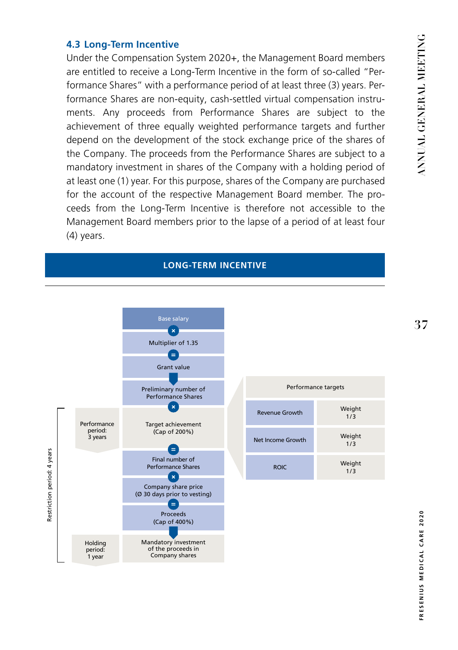#### **4.3 Long-Term Incentive**

Under the Compensation System 2020+, the Management Board members are entitled to receive a Long-Term Incentive in the form of so-called "Performance Shares" with a performance period of at least three (3) years. Performance Shares are non-equity, cash-settled virtual compensation instruments. Any proceeds from Performance Shares are subject to the achievement of three equally weighted performance targets and further depend on the development of the stock exchange price of the shares of the Company. The proceeds from the Performance Shares are subject to a mandatory investment in shares of the Company with a holding period of at least one (1) year. For this purpose, shares of the Company are purchased for the account of the respective Management Board member. The proceeds from the Long-Term Incentive is therefore not accessible to the Management Board members prior to the lapse of a period of at least four (4) years.

#### **LONG-TERM INCENTIVE**



| Performance targets   |               |  |
|-----------------------|---------------|--|
| <b>Revenue Growth</b> | Weight<br>1/3 |  |
| Net Income Growth     | Weight<br>1/3 |  |
| <b>ROIC</b>           | Weight<br>1/3 |  |

**37**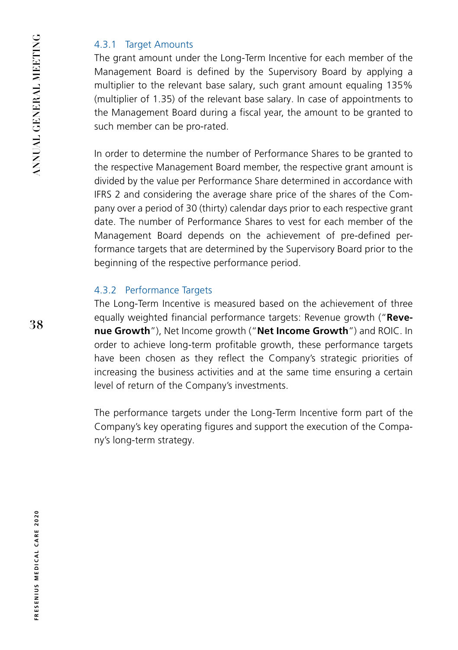### 4.3.1 Target Amounts

The grant amount under the Long-Term Incentive for each member of the Management Board is defined by the Supervisory Board by applying a multiplier to the relevant base salary, such grant amount equaling 135% (multiplier of 1.35) of the relevant base salary. In case of appointments to the Management Board during a fiscal year, the amount to be granted to such member can be pro-rated.

In order to determine the number of Performance Shares to be granted to the respective Management Board member, the respective grant amount is divided by the value per Performance Share determined in accordance with IFRS 2 and considering the average share price of the shares of the Company over a period of 30 (thirty) calendar days prior to each respective grant date. The number of Performance Shares to vest for each member of the Management Board depends on the achievement of pre-defined performance targets that are determined by the Supervisory Board prior to the beginning of the respective performance period.

## 4.3.2 Performance Targets

The Long-Term Incentive is measured based on the achievement of three equally weighted financial performance targets: Revenue growth ("**Revenue Growth**"), Net Income growth ("**Net Income Growth**") and ROIC. In order to achieve long-term profitable growth, these performance targets have been chosen as they reflect the Company's strategic priorities of increasing the business activities and at the same time ensuring a certain level of return of the Company's investments.

The performance targets under the Long-Term Incentive form part of the Company's key operating figures and support the execution of the Company's long-term strategy.

**38**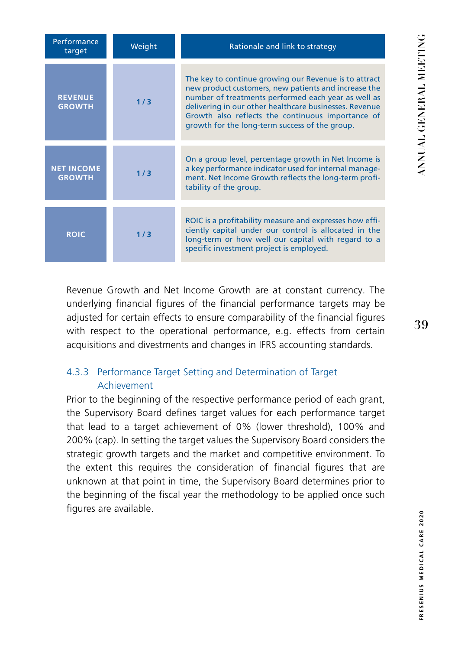| Performance<br>target              | Weight | Rationale and link to strategy                                                                                                                                                                                                                                                                                                        |
|------------------------------------|--------|---------------------------------------------------------------------------------------------------------------------------------------------------------------------------------------------------------------------------------------------------------------------------------------------------------------------------------------|
| <b>REVENUE</b><br><b>GROWTH</b>    | 1/3    | The key to continue growing our Revenue is to attract<br>new product customers, new patients and increase the<br>number of treatments performed each year as well as<br>delivering in our other healthcare businesses. Revenue<br>Growth also reflects the continuous importance of<br>growth for the long-term success of the group. |
| <b>NET INCOME</b><br><b>GROWTH</b> | 1/3    | On a group level, percentage growth in Net Income is<br>a key performance indicator used for internal manage-<br>ment. Net Income Growth reflects the long-term profi-<br>tability of the group.                                                                                                                                      |
| <b>ROIC</b>                        | 1/3    | ROIC is a profitability measure and expresses how effi-<br>ciently capital under our control is allocated in the<br>long-term or how well our capital with regard to a<br>specific investment project is employed.                                                                                                                    |

Revenue Growth and Net Income Growth are at constant currency. The underlying financial figures of the financial performance targets may be adjusted for certain effects to ensure comparability of the financial figures with respect to the operational performance, e.g. effects from certain acquisitions and divestments and changes in IFRS accounting standards.

## 4.3.3 Performance Target Setting and Determination of Target Achievement

Prior to the beginning of the respective performance period of each grant, the Supervisory Board defines target values for each performance target that lead to a target achievement of 0% (lower threshold), 100% and 200% (cap). In setting the target values the Supervisory Board considers the strategic growth targets and the market and competitive environment. To the extent this requires the consideration of financial figures that are unknown at that point in time, the Supervisory Board determines prior to the beginning of the fiscal year the methodology to be applied once such figures are available.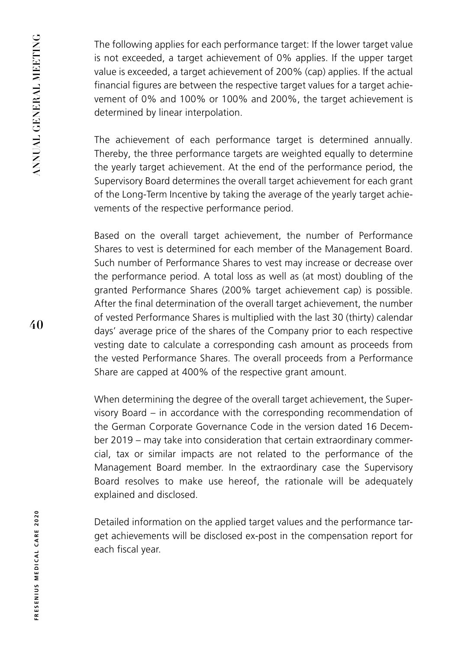The following applies for each performance target: If the lower target value is not exceeded, a target achievement of 0% applies. If the upper target value is exceeded, a target achievement of 200% (cap) applies. If the actual financial figures are between the respective target values for a target achievement of 0% and 100% or 100% and 200%, the target achievement is determined by linear interpolation.

The achievement of each performance target is determined annually. Thereby, the three performance targets are weighted equally to determine the yearly target achievement. At the end of the performance period, the Supervisory Board determines the overall target achievement for each grant of the Long-Term Incentive by taking the average of the yearly target achievements of the respective performance period.

Based on the overall target achievement, the number of Performance Shares to vest is determined for each member of the Management Board. Such number of Performance Shares to vest may increase or decrease over the performance period. A total loss as well as (at most) doubling of the granted Performance Shares (200% target achievement cap) is possible. After the final determination of the overall target achievement, the number of vested Performance Shares is multiplied with the last 30 (thirty) calendar days' average price of the shares of the Company prior to each respective vesting date to calculate a corresponding cash amount as proceeds from the vested Performance Shares. The overall proceeds from a Performance Share are capped at 400% of the respective grant amount.

When determining the degree of the overall target achievement, the Supervisory Board – in accordance with the corresponding recommendation of the German Corporate Governance Code in the version dated 16 December 2019 – may take into consideration that certain extraordinary commercial, tax or similar impacts are not related to the performance of the Management Board member. In the extraordinary case the Supervisory Board resolves to make use hereof, the rationale will be adequately explained and disclosed.

Detailed information on the applied target values and the performance target achievements will be disclosed ex-post in the compensation report for each fiscal year.

**40**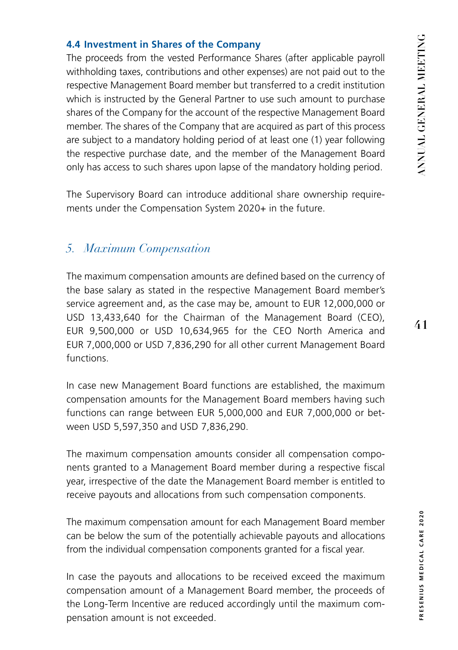#### **4.4 Investment in Shares of the Company**

The proceeds from the vested Performance Shares (after applicable payroll withholding taxes, contributions and other expenses) are not paid out to the respective Management Board member but transferred to a credit institution which is instructed by the General Partner to use such amount to purchase shares of the Company for the account of the respective Management Board member. The shares of the Company that are acquired as part of this process are subject to a mandatory holding period of at least one (1) year following the respective purchase date, and the member of the Management Board only has access to such shares upon lapse of the mandatory holding period.

The Supervisory Board can introduce additional share ownership requirements under the Compensation System 2020+ in the future.

## *5. Maximum Compensation*

The maximum compensation amounts are defined based on the currency of the base salary as stated in the respective Management Board member's service agreement and, as the case may be, amount to EUR 12,000,000 or USD 13,433,640 for the Chairman of the Management Board (CEO), EUR 9,500,000 or USD 10,634,965 for the CEO North America and EUR 7,000,000 or USD 7,836,290 for all other current Management Board functions.

In case new Management Board functions are established, the maximum compensation amounts for the Management Board members having such functions can range between EUR 5,000,000 and EUR 7,000,000 or between USD 5,597,350 and USD 7,836,290.

The maximum compensation amounts consider all compensation components granted to a Management Board member during a respective fiscal year, irrespective of the date the Management Board member is entitled to receive payouts and allocations from such compensation components.

The maximum compensation amount for each Management Board member can be below the sum of the potentially achievable payouts and allocations from the individual compensation components granted for a fiscal year.

In case the payouts and allocations to be received exceed the maximum compensation amount of a Management Board member, the proceeds of the Long-Term Incentive are reduced accordingly until the maximum compensation amount is not exceeded.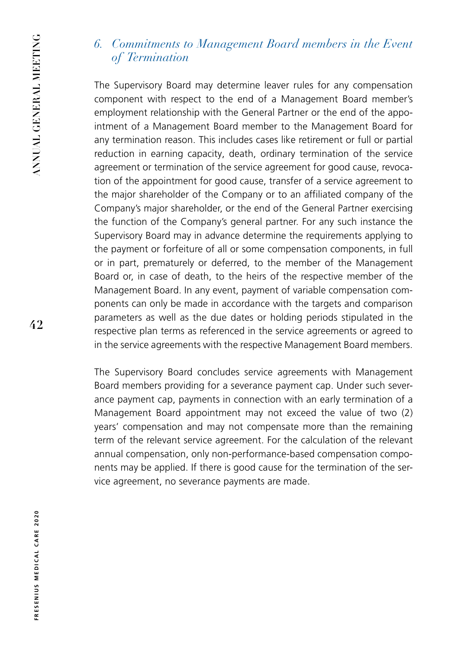## *6. Commitments to Management Board members in the Event of Termination*

The Supervisory Board may determine leaver rules for any compensation component with respect to the end of a Management Board member's employment relationship with the General Partner or the end of the appointment of a Management Board member to the Management Board for any termination reason. This includes cases like retirement or full or partial reduction in earning capacity, death, ordinary termination of the service agreement or termination of the service agreement for good cause, revocation of the appointment for good cause, transfer of a service agreement to the major shareholder of the Company or to an affiliated company of the Company's major shareholder, or the end of the General Partner exercising the function of the Company's general partner. For any such instance the Supervisory Board may in advance determine the requirements applying to the payment or forfeiture of all or some compensation components, in full or in part, prematurely or deferred, to the member of the Management Board or, in case of death, to the heirs of the respective member of the Management Board. In any event, payment of variable compensation components can only be made in accordance with the targets and comparison parameters as well as the due dates or holding periods stipulated in the respective plan terms as referenced in the service agreements or agreed to in the service agreements with the respective Management Board members.

The Supervisory Board concludes service agreements with Management Board members providing for a severance payment cap. Under such severance payment cap, payments in connection with an early termination of a Management Board appointment may not exceed the value of two (2) years' compensation and may not compensate more than the remaining term of the relevant service agreement. For the calculation of the relevant annual compensation, only non-performance-based compensation components may be applied. If there is good cause for the termination of the service agreement, no severance payments are made.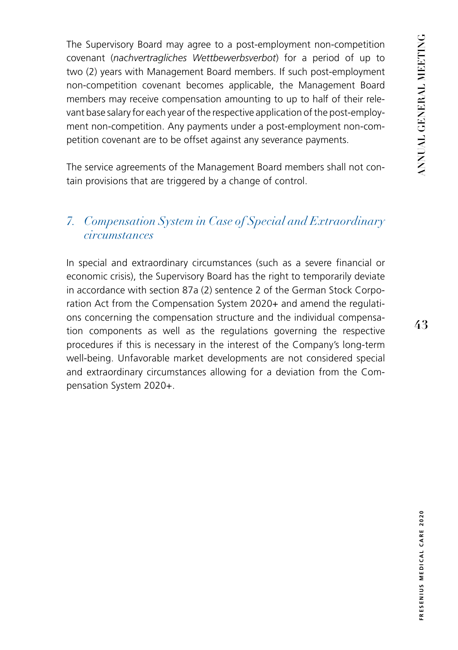The Supervisory Board may agree to a post-employment non-competition covenant (*nachvertragliches Wettbewerbsverbot*) for a period of up to two (2) years with Management Board members. If such post-employment non-competition covenant becomes applicable, the Management Board members may receive compensation amounting to up to half of their relevant base salary for each year of the respective application of the post-employment non-competition. Any payments under a post-employment non-competition covenant are to be offset against any severance payments.

The service agreements of the Management Board members shall not contain provisions that are triggered by a change of control.

# *7. Compensation System in Case of Special and Extraordinary circumstances*

In special and extraordinary circumstances (such as a severe financial or economic crisis), the Supervisory Board has the right to temporarily deviate in accordance with section 87a (2) sentence 2 of the German Stock Corporation Act from the Compensation System 2020+ and amend the regulations concerning the compensation structure and the individual compensation components as well as the regulations governing the respective procedures if this is necessary in the interest of the Company's long-term well-being. Unfavorable market developments are not considered special and extraordinary circumstances allowing for a deviation from the Compensation System 2020+.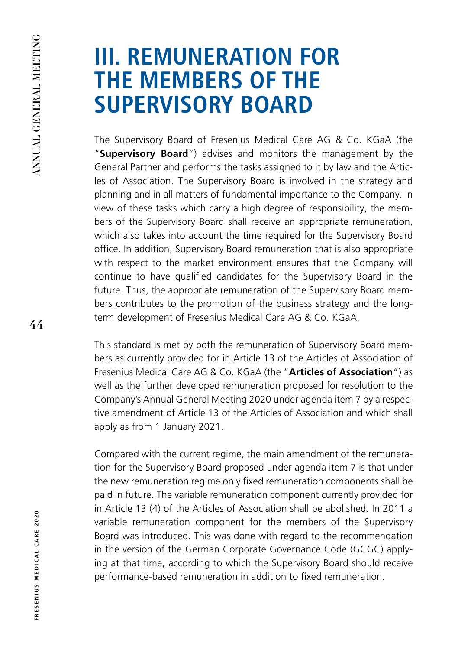# **III. REMUNERATION FOR THE MEMBERS OF THE SUPERVISORY BOARD**

The Supervisory Board of Fresenius Medical Care AG & Co. KGaA (the "**Supervisory Board**") advises and monitors the management by the General Partner and performs the tasks assigned to it by law and the Articles of Association. The Supervisory Board is involved in the strategy and planning and in all matters of fundamental importance to the Company. In view of these tasks which carry a high degree of responsibility, the members of the Supervisory Board shall receive an appropriate remuneration, which also takes into account the time required for the Supervisory Board office. In addition, Supervisory Board remuneration that is also appropriate with respect to the market environment ensures that the Company will continue to have qualified candidates for the Supervisory Board in the future. Thus, the appropriate remuneration of the Supervisory Board members contributes to the promotion of the business strategy and the longterm development of Fresenius Medical Care AG & Co. KGaA.

This standard is met by both the remuneration of Supervisory Board members as currently provided for in Article 13 of the Articles of Association of Fresenius Medical Care AG & Co. KGaA (the "**Articles of Association**") as well as the further developed remuneration proposed for resolution to the Company's Annual General Meeting 2020 under agenda item 7 by a respective amendment of Article 13 of the Articles of Association and which shall apply as from 1 January 2021.

Compared with the current regime, the main amendment of the remuneration for the Supervisory Board proposed under agenda item 7 is that under the new remuneration regime only fixed remuneration components shall be paid in future. The variable remuneration component currently provided for in Article 13 (4) of the Articles of Association shall be abolished. In 2011 a variable remuneration component for the members of the Supervisory Board was introduced. This was done with regard to the recommendation in the version of the German Corporate Governance Code (GCGC) applying at that time, according to which the Supervisory Board should receive performance-based remuneration in addition to fixed remuneration.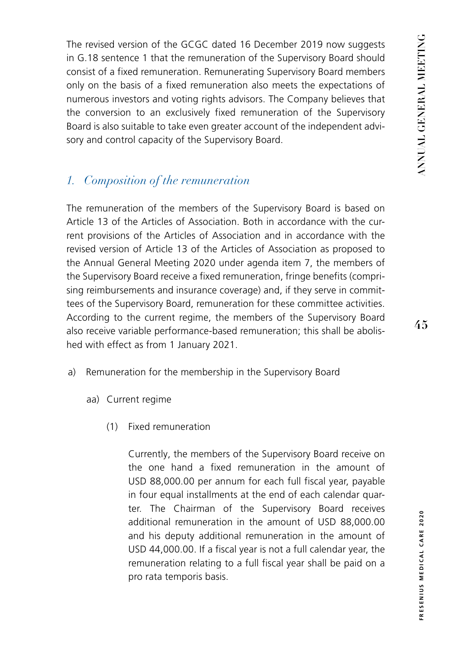The revised version of the GCGC dated 16 December 2019 now suggests in G.18 sentence 1 that the remuneration of the Supervisory Board should consist of a fixed remuneration. Remunerating Supervisory Board members only on the basis of a fixed remuneration also meets the expectations of numerous investors and voting rights advisors. The Company believes that the conversion to an exclusively fixed remuneration of the Supervisory Board is also suitable to take even greater account of the independent advisory and control capacity of the Supervisory Board.

## *1. Composition of the remuneration*

The remuneration of the members of the Supervisory Board is based on Article 13 of the Articles of Association. Both in accordance with the current provisions of the Articles of Association and in accordance with the revised version of Article 13 of the Articles of Association as proposed to the Annual General Meeting 2020 under agenda item 7, the members of the Supervisory Board receive a fixed remuneration, fringe benefits (comprising reimbursements and insurance coverage) and, if they serve in committees of the Supervisory Board, remuneration for these committee activities. According to the current regime, the members of the Supervisory Board also receive variable performance-based remuneration; this shall be abolished with effect as from 1 January 2021.

- a) Remuneration for the membership in the Supervisory Board
	- aa) Current regime
		- (1) Fixed remuneration

Currently, the members of the Supervisory Board receive on the one hand a fixed remuneration in the amount of USD 88,000.00 per annum for each full fiscal year, payable in four equal installments at the end of each calendar quarter. The Chairman of the Supervisory Board receives additional remuneration in the amount of USD 88,000.00 and his deputy additional remuneration in the amount of USD 44,000.00. If a fiscal year is not a full calendar year, the remuneration relating to a full fiscal year shall be paid on a pro rata temporis basis.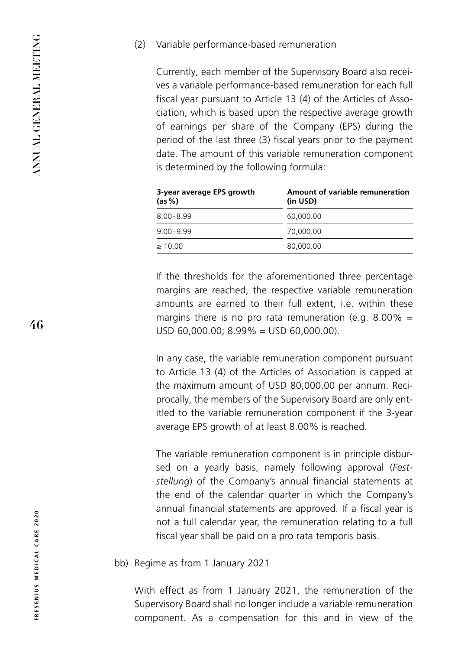#### (2) Variable performance-based remuneration

Currently, each member of the Supervisory Board also receives a variable performance-based remuneration for each full fiscal year pursuant to Article 13 (4) of the Articles of Association, which is based upon the respective average growth of earnings per share of the Company (EPS) during the period of the last three (3) fiscal years prior to the payment date. The amount of this variable remuneration component is determined by the following formula:

| 3-year average EPS growth<br>(as %) | Amount of variable remuneration<br>(in USD) |
|-------------------------------------|---------------------------------------------|
| $8.00 - 8.99$                       | 60,000,00                                   |
| $9.00 - 9.99$                       | 70,000,00                                   |
| $\geq 10.00$                        | 80,000,00                                   |

If the thresholds for the aforementioned three percentage margins are reached, the respective variable remuneration amounts are earned to their full extent, i.e. within these margins there is no pro rata remuneration (e.g.  $8.00\%$  = USD 60,000.00; 8.99% = USD 60,000.00).

In any case, the variable remuneration component pursuant to Article 13 (4) of the Articles of Association is capped at the maximum amount of USD 80,000.00 per annum. Reciprocally, the members of the Supervisory Board are only entitled to the variable remuneration component if the 3-year average EPS growth of at least 8.00% is reached.

The variable remuneration component is in principle disbursed on a yearly basis, namely following approval (*Feststellung*) of the Company's annual financial statements at the end of the calendar quarter in which the Company's annual financial statements are approved. If a fiscal year is not a full calendar year, the remuneration relating to a full fiscal year shall be paid on a pro rata temporis basis.

bb) Regime as from 1 January 2021

With effect as from 1 January 2021, the remuneration of the Supervisory Board shall no longer include a variable remuneration component. As a compensation for this and in view of the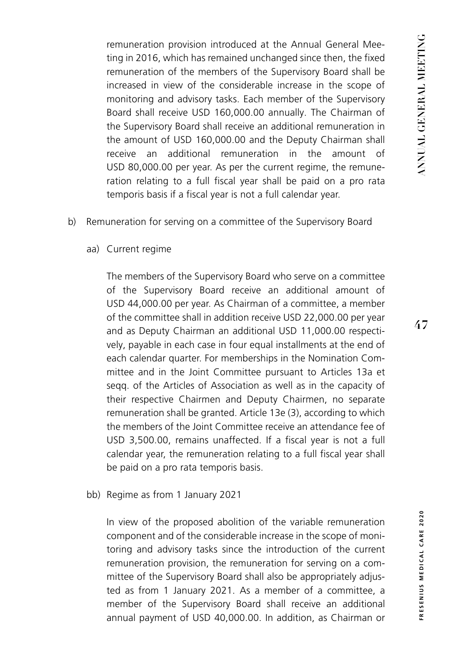remuneration provision introduced at the Annual General Meeting in 2016, which has remained unchanged since then, the fixed remuneration of the members of the Supervisory Board shall be increased in view of the considerable increase in the scope of monitoring and advisory tasks. Each member of the Supervisory Board shall receive USD 160,000.00 annually. The Chairman of the Supervisory Board shall receive an additional remuneration in the amount of USD 160,000.00 and the Deputy Chairman shall receive an additional remuneration in the amount of USD 80,000.00 per year. As per the current regime, the remuneration relating to a full fiscal year shall be paid on a pro rata temporis basis if a fiscal year is not a full calendar year.

- b) Remuneration for serving on a committee of the Supervisory Board
	- aa) Current regime

The members of the Supervisory Board who serve on a committee of the Supervisory Board receive an additional amount of USD 44,000.00 per year. As Chairman of a committee, a member of the committee shall in addition receive USD 22,000.00 per year and as Deputy Chairman an additional USD 11,000.00 respectively, payable in each case in four equal installments at the end of each calendar quarter. For memberships in the Nomination Committee and in the Joint Committee pursuant to Articles 13a et seqq. of the Articles of Association as well as in the capacity of their respective Chairmen and Deputy Chairmen, no separate remuneration shall be granted. Article 13e (3), according to which the members of the Joint Committee receive an attendance fee of USD 3,500.00, remains unaffected. If a fiscal year is not a full calendar year, the remuneration relating to a full fiscal year shall be paid on a pro rata temporis basis.

bb) Regime as from 1 January 2021

In view of the proposed abolition of the variable remuneration component and of the considerable increase in the scope of monitoring and advisory tasks since the introduction of the current remuneration provision, the remuneration for serving on a committee of the Supervisory Board shall also be appropriately adjusted as from 1 January 2021. As a member of a committee, a member of the Supervisory Board shall receive an additional annual payment of USD 40,000.00. In addition, as Chairman or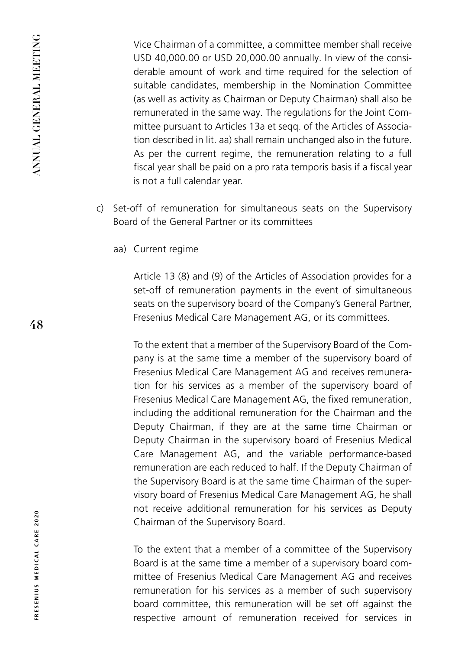Vice Chairman of a committee, a committee member shall receive USD 40,000.00 or USD 20,000.00 annually. In view of the considerable amount of work and time required for the selection of suitable candidates, membership in the Nomination Committee (as well as activity as Chairman or Deputy Chairman) shall also be remunerated in the same way. The regulations for the Joint Committee pursuant to Articles 13a et seqq. of the Articles of Association described in lit. aa) shall remain unchanged also in the future. As per the current regime, the remuneration relating to a full fiscal year shall be paid on a pro rata temporis basis if a fiscal year is not a full calendar year.

- c) Set-off of remuneration for simultaneous seats on the Supervisory Board of the General Partner or its committees
	- aa) Current regime

Article 13 (8) and (9) of the Articles of Association provides for a set-off of remuneration payments in the event of simultaneous seats on the supervisory board of the Company's General Partner, Fresenius Medical Care Management AG, or its committees.

To the extent that a member of the Supervisory Board of the Company is at the same time a member of the supervisory board of Fresenius Medical Care Management AG and receives remuneration for his services as a member of the supervisory board of Fresenius Medical Care Management AG, the fixed remuneration, including the additional remuneration for the Chairman and the Deputy Chairman, if they are at the same time Chairman or Deputy Chairman in the supervisory board of Fresenius Medical Care Management AG, and the variable performance-based remuneration are each reduced to half. If the Deputy Chairman of the Supervisory Board is at the same time Chairman of the supervisory board of Fresenius Medical Care Management AG, he shall not receive additional remuneration for his services as Deputy Chairman of the Supervisory Board.

To the extent that a member of a committee of the Supervisory Board is at the same time a member of a supervisory board committee of Fresenius Medical Care Management AG and receives remuneration for his services as a member of such supervisory board committee, this remuneration will be set off against the respective amount of remuneration received for services in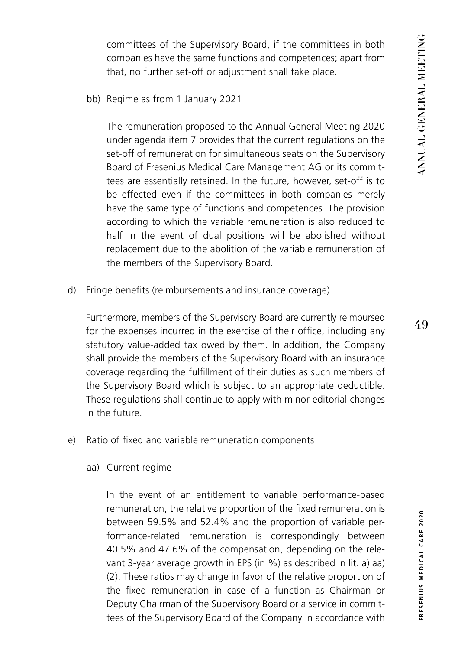committees of the Supervisory Board, if the committees in both companies have the same functions and competences; apart from that, no further set-off or adjustment shall take place.

bb) Regime as from 1 January 2021

The remuneration proposed to the Annual General Meeting 2020 under agenda item 7 provides that the current regulations on the set-off of remuneration for simultaneous seats on the Supervisory Board of Fresenius Medical Care Management AG or its committees are essentially retained. In the future, however, set-off is to be effected even if the committees in both companies merely have the same type of functions and competences. The provision according to which the variable remuneration is also reduced to half in the event of dual positions will be abolished without replacement due to the abolition of the variable remuneration of the members of the Supervisory Board.

d) Fringe benefits (reimbursements and insurance coverage)

Furthermore, members of the Supervisory Board are currently reimbursed for the expenses incurred in the exercise of their office, including any statutory value-added tax owed by them. In addition, the Company shall provide the members of the Supervisory Board with an insurance coverage regarding the fulfillment of their duties as such members of the Supervisory Board which is subject to an appropriate deductible. These regulations shall continue to apply with minor editorial changes in the future.

- e) Ratio of fixed and variable remuneration components
	- aa) Current regime

In the event of an entitlement to variable performance-based remuneration, the relative proportion of the fixed remuneration is between 59.5% and 52.4% and the proportion of variable performance-related remuneration is correspondingly between 40.5% and 47.6% of the compensation, depending on the relevant 3-year average growth in EPS (in %) as described in lit. a) aa) (2). These ratios may change in favor of the relative proportion of the fixed remuneration in case of a function as Chairman or Deputy Chairman of the Supervisory Board or a service in committees of the Supervisory Board of the Company in accordance with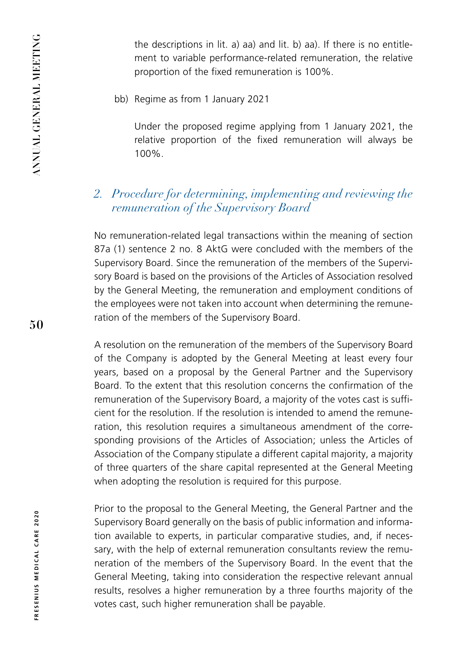the descriptions in lit. a) aa) and lit. b) aa). If there is no entitlement to variable performance-related remuneration, the relative proportion of the fixed remuneration is 100%.

bb) Regime as from 1 January 2021

Under the proposed regime applying from 1 January 2021, the relative proportion of the fixed remuneration will always be 100%.

## *2. Procedure for determining, implementing and reviewing the remuneration of the Supervisory Board*

No remuneration-related legal transactions within the meaning of section 87a (1) sentence 2 no. 8 AktG were concluded with the members of the Supervisory Board. Since the remuneration of the members of the Supervisory Board is based on the provisions of the Articles of Association resolved by the General Meeting, the remuneration and employment conditions of the employees were not taken into account when determining the remuneration of the members of the Supervisory Board.

A resolution on the remuneration of the members of the Supervisory Board of the Company is adopted by the General Meeting at least every four years, based on a proposal by the General Partner and the Supervisory Board. To the extent that this resolution concerns the confirmation of the remuneration of the Supervisory Board, a majority of the votes cast is sufficient for the resolution. If the resolution is intended to amend the remuneration, this resolution requires a simultaneous amendment of the corresponding provisions of the Articles of Association; unless the Articles of Association of the Company stipulate a different capital majority, a majority of three quarters of the share capital represented at the General Meeting when adopting the resolution is required for this purpose.

Prior to the proposal to the General Meeting, the General Partner and the Supervisory Board generally on the basis of public information and information available to experts, in particular comparative studies, and, if necessary, with the help of external remuneration consultants review the remuneration of the members of the Supervisory Board. In the event that the General Meeting, taking into consideration the respective relevant annual results, resolves a higher remuneration by a three fourths majority of the votes cast, such higher remuneration shall be payable.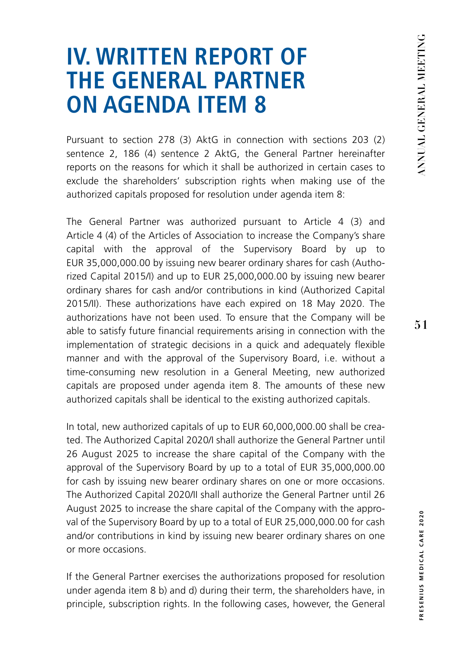# **IV. WRITTEN REPORT OF THE GENERAL PARTNER ON AGENDA ITEM 8**

Pursuant to section 278 (3) AktG in connection with sections 203 (2) sentence 2, 186 (4) sentence 2 AktG, the General Partner hereinafter reports on the reasons for which it shall be authorized in certain cases to exclude the shareholders' subscription rights when making use of the authorized capitals proposed for resolution under agenda item 8:

The General Partner was authorized pursuant to Article 4 (3) and Article 4 (4) of the Articles of Association to increase the Company's share capital with the approval of the Supervisory Board by up to EUR 35,000,000.00 by issuing new bearer ordinary shares for cash (Authorized Capital 2015/I) and up to EUR 25,000,000.00 by issuing new bearer ordinary shares for cash and/or contributions in kind (Authorized Capital 2015/II). These authorizations have each expired on 18 May 2020. The authorizations have not been used. To ensure that the Company will be able to satisfy future financial requirements arising in connection with the implementation of strategic decisions in a quick and adequately flexible manner and with the approval of the Supervisory Board, i.e. without a time-consuming new resolution in a General Meeting, new authorized capitals are proposed under agenda item 8. The amounts of these new authorized capitals shall be identical to the existing authorized capitals.

In total, new authorized capitals of up to EUR 60,000,000.00 shall be created. The Authorized Capital 2020/I shall authorize the General Partner until 26 August 2025 to increase the share capital of the Company with the approval of the Supervisory Board by up to a total of EUR 35,000,000.00 for cash by issuing new bearer ordinary shares on one or more occasions. The Authorized Capital 2020/II shall authorize the General Partner until 26 August 2025 to increase the share capital of the Company with the approval of the Supervisory Board by up to a total of EUR 25,000,000.00 for cash and/or contributions in kind by issuing new bearer ordinary shares on one or more occasions.

If the General Partner exercises the authorizations proposed for resolution under agenda item 8 b) and d) during their term, the shareholders have, in principle, subscription rights. In the following cases, however, the General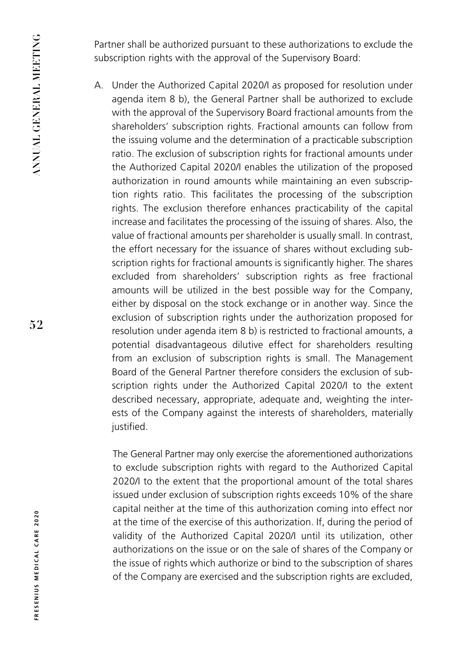Partner shall be authorized pursuant to these authorizations to exclude the subscription rights with the approval of the Supervisory Board:

A. Under the Authorized Capital 2020/I as proposed for resolution under agenda item 8 b), the General Partner shall be authorized to exclude with the approval of the Supervisory Board fractional amounts from the shareholders' subscription rights. Fractional amounts can follow from the issuing volume and the determination of a practicable subscription ratio. The exclusion of subscription rights for fractional amounts under the Authorized Capital 2020/I enables the utilization of the proposed authorization in round amounts while maintaining an even subscription rights ratio. This facilitates the processing of the subscription rights. The exclusion therefore enhances practicability of the capital increase and facilitates the processing of the issuing of shares. Also, the value of fractional amounts per shareholder is usually small. In contrast, the effort necessary for the issuance of shares without excluding subscription rights for fractional amounts is significantly higher. The shares excluded from shareholders' subscription rights as free fractional amounts will be utilized in the best possible way for the Company, either by disposal on the stock exchange or in another way. Since the exclusion of subscription rights under the authorization proposed for resolution under agenda item 8 b) is restricted to fractional amounts, a potential disadvantageous dilutive effect for shareholders resulting from an exclusion of subscription rights is small. The Management Board of the General Partner therefore considers the exclusion of subscription rights under the Authorized Capital 2020/I to the extent described necessary, appropriate, adequate and, weighting the interests of the Company against the interests of shareholders, materially justified.

The General Partner may only exercise the aforementioned authorizations to exclude subscription rights with regard to the Authorized Capital 2020/I to the extent that the proportional amount of the total shares issued under exclusion of subscription rights exceeds 10% of the share capital neither at the time of this authorization coming into effect nor at the time of the exercise of this authorization. If, during the period of validity of the Authorized Capital 2020/I until its utilization, other authorizations on the issue or on the sale of shares of the Company or the issue of rights which authorize or bind to the subscription of shares of the Company are exercised and the subscription rights are excluded,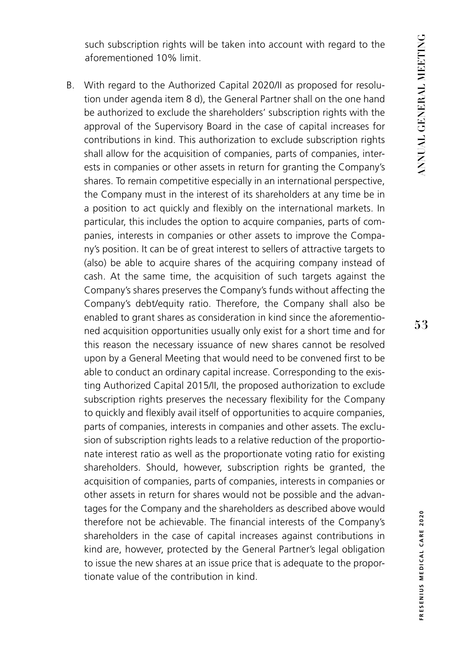such subscription rights will be taken into account with regard to the aforementioned 10% limit.

B. With regard to the Authorized Capital 2020/II as proposed for resolution under agenda item 8 d), the General Partner shall on the one hand be authorized to exclude the shareholders' subscription rights with the approval of the Supervisory Board in the case of capital increases for contributions in kind. This authorization to exclude subscription rights shall allow for the acquisition of companies, parts of companies, interests in companies or other assets in return for granting the Company's shares. To remain competitive especially in an international perspective, the Company must in the interest of its shareholders at any time be in a position to act quickly and flexibly on the international markets. In particular, this includes the option to acquire companies, parts of companies, interests in companies or other assets to improve the Company's position. It can be of great interest to sellers of attractive targets to (also) be able to acquire shares of the acquiring company instead of cash. At the same time, the acquisition of such targets against the Company's shares preserves the Company's funds without affecting the Company's debt/equity ratio. Therefore, the Company shall also be enabled to grant shares as consideration in kind since the aforementioned acquisition opportunities usually only exist for a short time and for this reason the necessary issuance of new shares cannot be resolved upon by a General Meeting that would need to be convened first to be able to conduct an ordinary capital increase. Corresponding to the existing Authorized Capital 2015/II, the proposed authorization to exclude subscription rights preserves the necessary flexibility for the Company to quickly and flexibly avail itself of opportunities to acquire companies, parts of companies, interests in companies and other assets. The exclusion of subscription rights leads to a relative reduction of the proportionate interest ratio as well as the proportionate voting ratio for existing shareholders. Should, however, subscription rights be granted, the acquisition of companies, parts of companies, interests in companies or other assets in return for shares would not be possible and the advantages for the Company and the shareholders as described above would therefore not be achievable. The financial interests of the Company's shareholders in the case of capital increases against contributions in kind are, however, protected by the General Partner's legal obligation to issue the new shares at an issue price that is adequate to the proportionate value of the contribution in kind.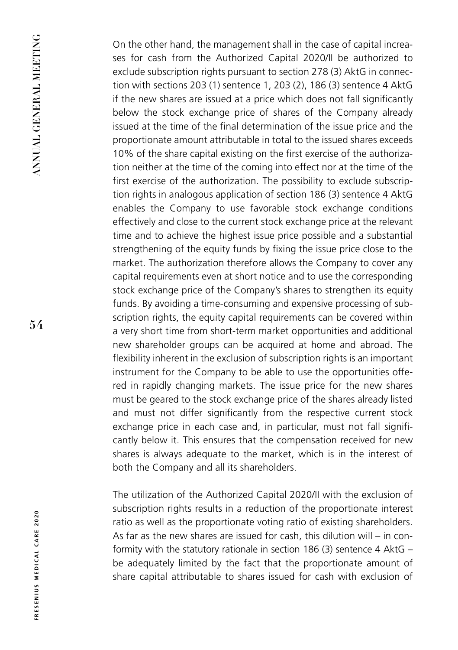On the other hand, the management shall in the case of capital increases for cash from the Authorized Capital 2020/II be authorized to exclude subscription rights pursuant to section 278 (3) AktG in connection with sections 203 (1) sentence 1, 203 (2), 186 (3) sentence 4 AktG if the new shares are issued at a price which does not fall significantly below the stock exchange price of shares of the Company already issued at the time of the final determination of the issue price and the proportionate amount attributable in total to the issued shares exceeds 10% of the share capital existing on the first exercise of the authorization neither at the time of the coming into effect nor at the time of the first exercise of the authorization. The possibility to exclude subscription rights in analogous application of section 186 (3) sentence 4 AktG enables the Company to use favorable stock exchange conditions effectively and close to the current stock exchange price at the relevant time and to achieve the highest issue price possible and a substantial strengthening of the equity funds by fixing the issue price close to the market. The authorization therefore allows the Company to cover any capital requirements even at short notice and to use the corresponding stock exchange price of the Company's shares to strengthen its equity funds. By avoiding a time-consuming and expensive processing of subscription rights, the equity capital requirements can be covered within a very short time from short-term market opportunities and additional new shareholder groups can be acquired at home and abroad. The flexibility inherent in the exclusion of subscription rights is an important instrument for the Company to be able to use the opportunities offered in rapidly changing markets. The issue price for the new shares must be geared to the stock exchange price of the shares already listed and must not differ significantly from the respective current stock exchange price in each case and, in particular, must not fall significantly below it. This ensures that the compensation received for new shares is always adequate to the market, which is in the interest of both the Company and all its shareholders.

The utilization of the Authorized Capital 2020/II with the exclusion of subscription rights results in a reduction of the proportionate interest ratio as well as the proportionate voting ratio of existing shareholders. As far as the new shares are issued for cash, this dilution will – in conformity with the statutory rationale in section 186 (3) sentence 4 AktG – be adequately limited by the fact that the proportionate amount of share capital attributable to shares issued for cash with exclusion of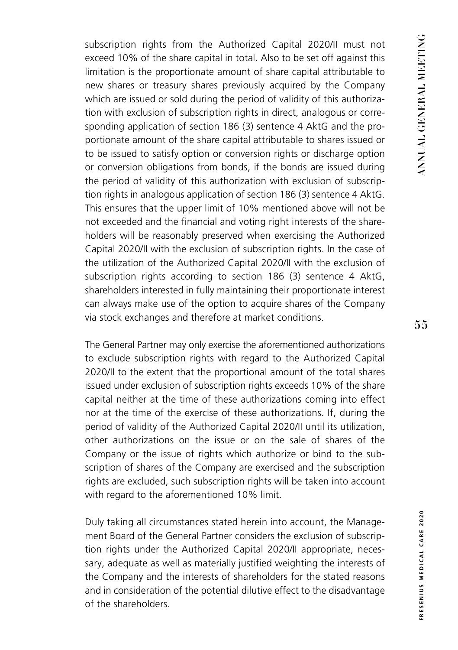subscription rights from the Authorized Capital 2020/II must not exceed 10% of the share capital in total. Also to be set off against this limitation is the proportionate amount of share capital attributable to new shares or treasury shares previously acquired by the Company which are issued or sold during the period of validity of this authorization with exclusion of subscription rights in direct, analogous or corresponding application of section 186 (3) sentence 4 AktG and the proportionate amount of the share capital attributable to shares issued or to be issued to satisfy option or conversion rights or discharge option or conversion obligations from bonds, if the bonds are issued during the period of validity of this authorization with exclusion of subscription rights in analogous application of section 186 (3) sentence 4 AktG. This ensures that the upper limit of 10% mentioned above will not be not exceeded and the financial and voting right interests of the shareholders will be reasonably preserved when exercising the Authorized Capital 2020/II with the exclusion of subscription rights. In the case of the utilization of the Authorized Capital 2020/II with the exclusion of subscription rights according to section 186 (3) sentence 4 AktG, shareholders interested in fully maintaining their proportionate interest can always make use of the option to acquire shares of the Company via stock exchanges and therefore at market conditions.

The General Partner may only exercise the aforementioned authorizations to exclude subscription rights with regard to the Authorized Capital 2020/II to the extent that the proportional amount of the total shares issued under exclusion of subscription rights exceeds 10% of the share capital neither at the time of these authorizations coming into effect nor at the time of the exercise of these authorizations. If, during the period of validity of the Authorized Capital 2020/II until its utilization, other authorizations on the issue or on the sale of shares of the Company or the issue of rights which authorize or bind to the subscription of shares of the Company are exercised and the subscription rights are excluded, such subscription rights will be taken into account with regard to the aforementioned 10% limit.

Duly taking all circumstances stated herein into account, the Management Board of the General Partner considers the exclusion of subscription rights under the Authorized Capital 2020/II appropriate, necessary, adequate as well as materially justified weighting the interests of the Company and the interests of shareholders for the stated reasons and in consideration of the potential dilutive effect to the disadvantage of the shareholders.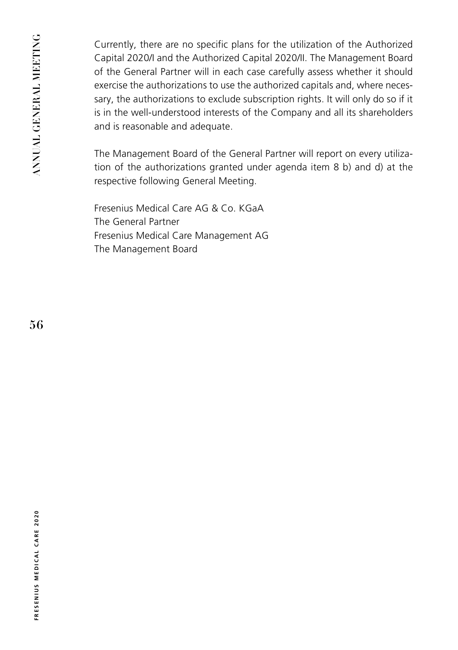Currently, there are no specific plans for the utilization of the Authorized Capital 2020/I and the Authorized Capital 2020/II. The Management Board of the General Partner will in each case carefully assess whether it should exercise the authorizations to use the authorized capitals and, where necessary, the authorizations to exclude subscription rights. It will only do so if it is in the well-understood interests of the Company and all its shareholders and is reasonable and adequate.

The Management Board of the General Partner will report on every utilization of the authorizations granted under agenda item 8 b) and d) at the respective following General Meeting.

Fresenius Medical Care AG & Co. KGaA The General Partner Fresenius Medical Care Management AG The Management Board

**56**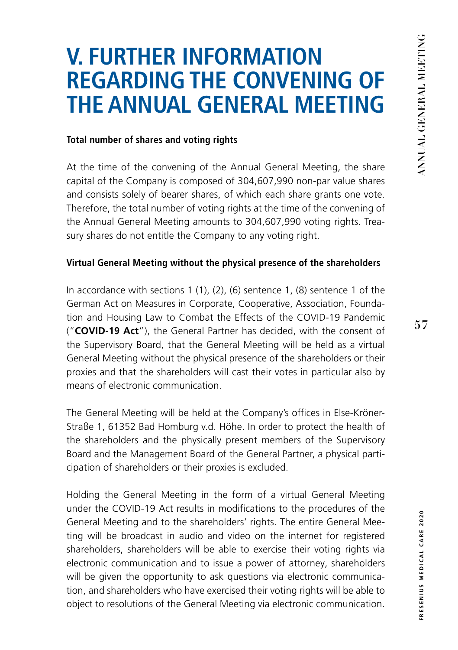# **V. FURTHER INFORMATION REGARDING THE CONVENING OF THE ANNUAL GENERAL MEETING**

### **Total number of shares and voting rights**

At the time of the convening of the Annual General Meeting, the share capital of the Company is composed of 304,607,990 non-par value shares and consists solely of bearer shares, of which each share grants one vote. Therefore, the total number of voting rights at the time of the convening of the Annual General Meeting amounts to 304,607,990 voting rights. Treasury shares do not entitle the Company to any voting right.

#### **Virtual General Meeting without the physical presence of the shareholders**

In accordance with sections 1 (1), (2), (6) sentence 1, (8) sentence 1 of the German Act on Measures in Corporate, Cooperative, Association, Foundation and Housing Law to Combat the Effects of the COVID-19 Pandemic ("**COVID-19 Act**"), the General Partner has decided, with the consent of the Supervisory Board, that the General Meeting will be held as a virtual General Meeting without the physical presence of the shareholders or their proxies and that the shareholders will cast their votes in particular also by means of electronic communication.

The General Meeting will be held at the Company's offices in Else-Kröner-Straße 1, 61352 Bad Homburg v.d. Höhe. In order to protect the health of the shareholders and the physically present members of the Supervisory Board and the Management Board of the General Partner, a physical participation of shareholders or their proxies is excluded.

Holding the General Meeting in the form of a virtual General Meeting under the COVID-19 Act results in modifications to the procedures of the General Meeting and to the shareholders' rights. The entire General Meeting will be broadcast in audio and video on the internet for registered shareholders, shareholders will be able to exercise their voting rights via electronic communication and to issue a power of attorney, shareholders will be given the opportunity to ask questions via electronic communication, and shareholders who have exercised their voting rights will be able to object to resolutions of the General Meeting via electronic communication.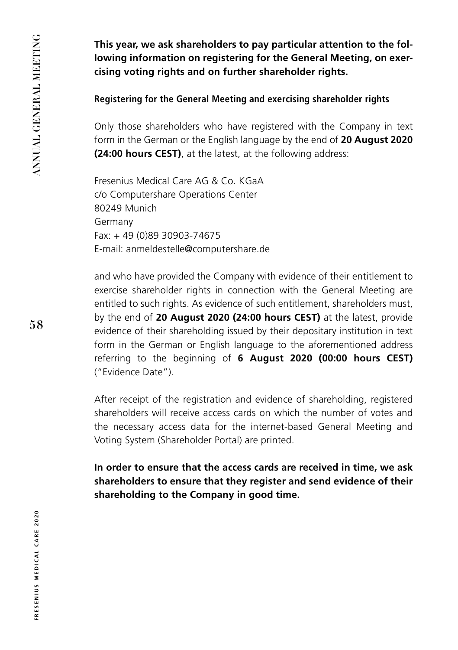**This year, we ask shareholders to pay particular attention to the following information on registering for the General Meeting, on exercising voting rights and on further shareholder rights.**

### **Registering for the General Meeting and exercising shareholder rights**

Only those shareholders who have registered with the Company in text form in the German or the English language by the end of **20 August 2020 (24:00 hours CEST)**, at the latest, at the following address:

Fresenius Medical Care AG & Co. KGaA c/o Computershare Operations Center 80249 Munich Germany Fax: + 49 (0)89 30903-74675 E-mail: anmeldestelle@computershare.de

and who have provided the Company with evidence of their entitlement to exercise shareholder rights in connection with the General Meeting are entitled to such rights. As evidence of such entitlement, shareholders must, by the end of **20 August 2020 (24:00 hours CEST)** at the latest, provide evidence of their shareholding issued by their depositary institution in text form in the German or English language to the aforementioned address referring to the beginning of **6 August 2020 (00:00 hours CEST)** ("Evidence Date").

After receipt of the registration and evidence of shareholding, registered shareholders will receive access cards on which the number of votes and the necessary access data for the internet-based General Meeting and Voting System (Shareholder Portal) are printed.

**In order to ensure that the access cards are received in time, we ask shareholders to ensure that they register and send evidence of their shareholding to the Company in good time.**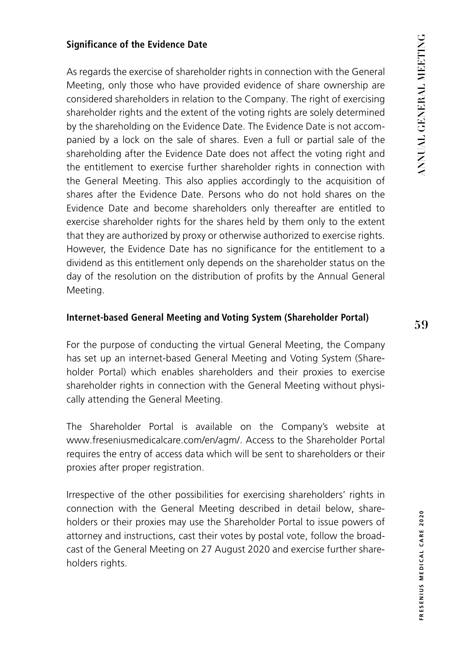#### **Significance of the Evidence Date**

As regards the exercise of shareholder rights in connection with the General Meeting, only those who have provided evidence of share ownership are considered shareholders in relation to the Company. The right of exercising shareholder rights and the extent of the voting rights are solely determined by the shareholding on the Evidence Date. The Evidence Date is not accompanied by a lock on the sale of shares. Even a full or partial sale of the shareholding after the Evidence Date does not affect the voting right and the entitlement to exercise further shareholder rights in connection with the General Meeting. This also applies accordingly to the acquisition of shares after the Evidence Date. Persons who do not hold shares on the Evidence Date and become shareholders only thereafter are entitled to exercise shareholder rights for the shares held by them only to the extent that they are authorized by proxy or otherwise authorized to exercise rights. However, the Evidence Date has no significance for the entitlement to a dividend as this entitlement only depends on the shareholder status on the day of the resolution on the distribution of profits by the Annual General Meeting.

#### **Internet-based General Meeting and Voting System (Shareholder Portal)**

For the purpose of conducting the virtual General Meeting, the Company has set up an internet-based General Meeting and Voting System (Shareholder Portal) which enables shareholders and their proxies to exercise shareholder rights in connection with the General Meeting without physically attending the General Meeting.

The Shareholder Portal is available on the Company's website at www.freseniusmedicalcare.com/en/agm/. Access to the Shareholder Portal requires the entry of access data which will be sent to shareholders or their proxies after proper registration.

Irrespective of the other possibilities for exercising shareholders' rights in connection with the General Meeting described in detail below, shareholders or their proxies may use the Shareholder Portal to issue powers of attorney and instructions, cast their votes by postal vote, follow the broadcast of the General Meeting on 27 August 2020 and exercise further shareholders rights.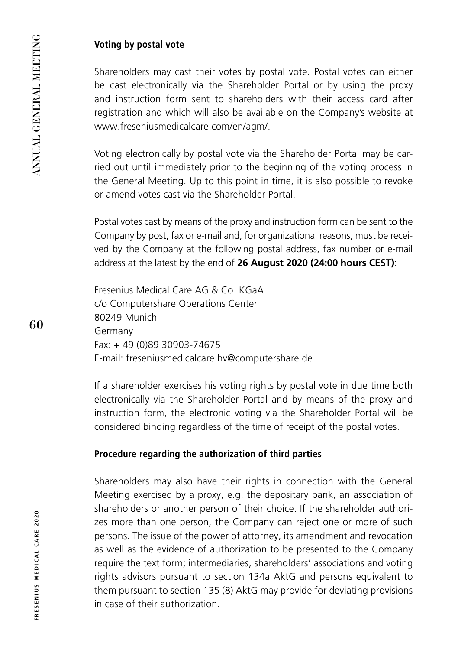## **Voting by postal vote**

Shareholders may cast their votes by postal vote. Postal votes can either be cast electronically via the Shareholder Portal or by using the proxy and instruction form sent to shareholders with their access card after registration and which will also be available on the Company's website at www.freseniusmedicalcare.com/en/agm/.

Voting electronically by postal vote via the Shareholder Portal may be carried out until immediately prior to the beginning of the voting process in the General Meeting. Up to this point in time, it is also possible to revoke or amend votes cast via the Shareholder Portal.

Postal votes cast by means of the proxy and instruction form can be sent to the Company by post, fax or e-mail and, for organizational reasons, must be received by the Company at the following postal address, fax number or e-mail address at the latest by the end of **26 August 2020 (24:00 hours CEST)**:

Fresenius Medical Care AG & Co. KGaA c/o Computershare Operations Center 80249 Munich Germany Fax: + 49 (0)89 30903-74675 E-mail: freseniusmedicalcare.hv@computershare.de

If a shareholder exercises his voting rights by postal vote in due time both electronically via the Shareholder Portal and by means of the proxy and instruction form, the electronic voting via the Shareholder Portal will be considered binding regardless of the time of receipt of the postal votes.

## **Procedure regarding the authorization of third parties**

Shareholders may also have their rights in connection with the General Meeting exercised by a proxy, e.g. the depositary bank, an association of shareholders or another person of their choice. If the shareholder authorizes more than one person, the Company can reject one or more of such persons. The issue of the power of attorney, its amendment and revocation as well as the evidence of authorization to be presented to the Company require the text form; intermediaries, shareholders' associations and voting rights advisors pursuant to section 134a AktG and persons equivalent to them pursuant to section 135 (8) AktG may provide for deviating provisions in case of their authorization.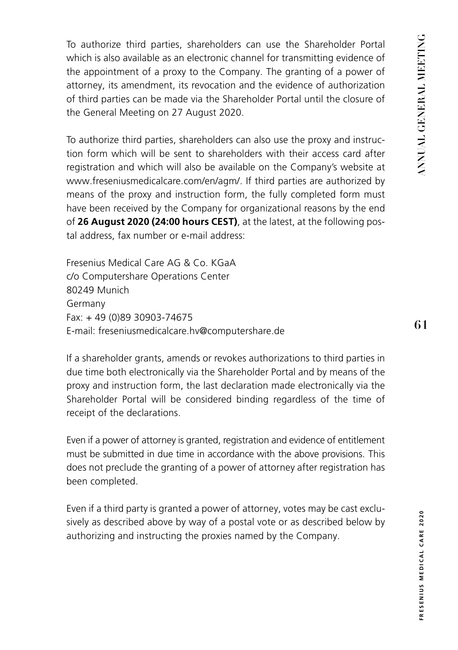To authorize third parties, shareholders can use the Shareholder Portal which is also available as an electronic channel for transmitting evidence of the appointment of a proxy to the Company. The granting of a power of attorney, its amendment, its revocation and the evidence of authorization of third parties can be made via the Shareholder Portal until the closure of the General Meeting on 27 August 2020.

To authorize third parties, shareholders can also use the proxy and instruction form which will be sent to shareholders with their access card after registration and which will also be available on the Company's website at www.freseniusmedicalcare.com/en/agm/. If third parties are authorized by means of the proxy and instruction form, the fully completed form must have been received by the Company for organizational reasons by the end of **26 August 2020 (24:00 hours CEST)**, at the latest, at the following postal address, fax number or e-mail address:

Fresenius Medical Care AG & Co. KGaA c/o Computershare Operations Center 80249 Munich Germany Fax: + 49 (0)89 30903-74675 E-mail: freseniusmedicalcare.hv@computershare.de

If a shareholder grants, amends or revokes authorizations to third parties in due time both electronically via the Shareholder Portal and by means of the proxy and instruction form, the last declaration made electronically via the Shareholder Portal will be considered binding regardless of the time of receipt of the declarations.

Even if a power of attorney is granted, registration and evidence of entitlement must be submitted in due time in accordance with the above provisions. This does not preclude the granting of a power of attorney after registration has been completed.

Even if a third party is granted a power of attorney, votes may be cast exclusively as described above by way of a postal vote or as described below by authorizing and instructing the proxies named by the Company.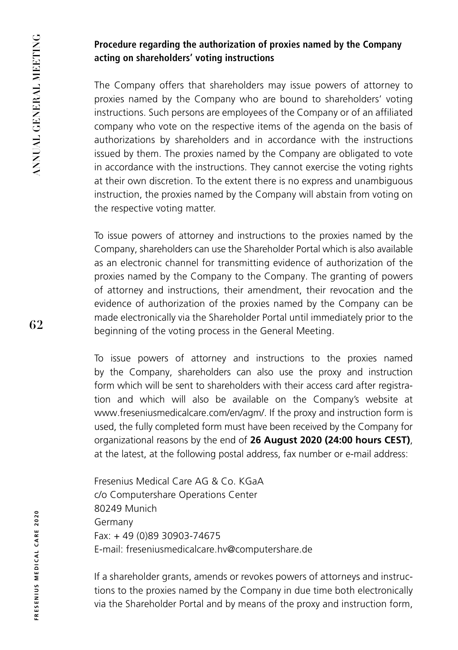## **Procedure regarding the authorization of proxies named by the Company acting on shareholders' voting instructions**

The Company offers that shareholders may issue powers of attorney to proxies named by the Company who are bound to shareholders' voting instructions. Such persons are employees of the Company or of an affiliated company who vote on the respective items of the agenda on the basis of authorizations by shareholders and in accordance with the instructions issued by them. The proxies named by the Company are obligated to vote in accordance with the instructions. They cannot exercise the voting rights at their own discretion. To the extent there is no express and unambiguous instruction, the proxies named by the Company will abstain from voting on the respective voting matter.

To issue powers of attorney and instructions to the proxies named by the Company, shareholders can use the Shareholder Portal which is also available as an electronic channel for transmitting evidence of authorization of the proxies named by the Company to the Company. The granting of powers of attorney and instructions, their amendment, their revocation and the evidence of authorization of the proxies named by the Company can be made electronically via the Shareholder Portal until immediately prior to the beginning of the voting process in the General Meeting.

To issue powers of attorney and instructions to the proxies named by the Company, shareholders can also use the proxy and instruction form which will be sent to shareholders with their access card after registration and which will also be available on the Company's website at www.freseniusmedicalcare.com/en/agm/. If the proxy and instruction form is used, the fully completed form must have been received by the Company for organizational reasons by the end of **26 August 2020 (24:00 hours CEST)**, at the latest, at the following postal address, fax number or e-mail address:

Fresenius Medical Care AG & Co. KGaA c/o Computershare Operations Center 80249 Munich Germany Fax: + 49 (0)89 30903-74675 E-mail: freseniusmedicalcare.hv@computershare.de

If a shareholder grants, amends or revokes powers of attorneys and instructions to the proxies named by the Company in due time both electronically via the Shareholder Portal and by means of the proxy and instruction form,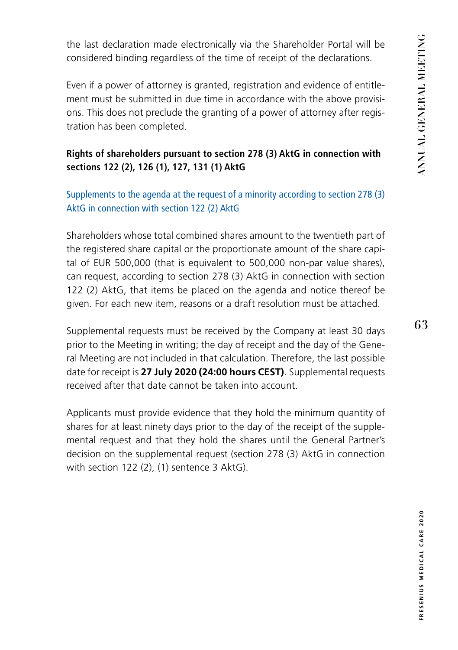the last declaration made electronically via the Shareholder Portal will be considered binding regardless of the time of receipt of the declarations.

Even if a power of attorney is granted, registration and evidence of entitlement must be submitted in due time in accordance with the above provisions. This does not preclude the granting of a power of attorney after registration has been completed.

## **Rights of shareholders pursuant to section 278 (3) AktG in connection with sections 122 (2), 126 (1), 127, 131 (1) AktG**

Supplements to the agenda at the request of a minority according to section 278 (3) AktG in connection with section 122 (2) AktG

Shareholders whose total combined shares amount to the twentieth part of the registered share capital or the proportionate amount of the share capital of EUR 500,000 (that is equivalent to 500,000 non-par value shares), can request, according to section 278 (3) AktG in connection with section 122 (2) AktG, that items be placed on the agenda and notice thereof be given. For each new item, reasons or a draft resolution must be attached.

Supplemental requests must be received by the Company at least 30 days prior to the Meeting in writing; the day of receipt and the day of the General Meeting are not included in that calculation. Therefore, the last possible date for receipt is **27 July 2020 (24:00 hours CEST)**. Supplemental requests received after that date cannot be taken into account.

Applicants must provide evidence that they hold the minimum quantity of shares for at least ninety days prior to the day of the receipt of the supplemental request and that they hold the shares until the General Partner's decision on the supplemental request (section 278 (3) AktG in connection with section 122 (2), (1) sentence 3 AktG).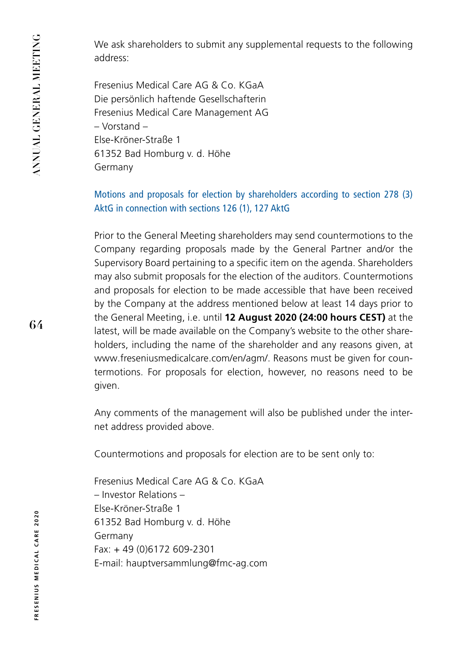We ask shareholders to submit any supplemental requests to the following address:

Fresenius Medical Care AG & Co. KGaA Die persönlich haftende Gesellschafterin Fresenius Medical Care Management AG – Vorstand – Else-Kröner-Straße 1 61352 Bad Homburg v. d. Höhe Germany

Motions and proposals for election by shareholders according to section 278 (3) AktG in connection with sections 126 (1), 127 AktG

Prior to the General Meeting shareholders may send countermotions to the Company regarding proposals made by the General Partner and/or the Supervisory Board pertaining to a specific item on the agenda. Shareholders may also submit proposals for the election of the auditors. Countermotions and proposals for election to be made accessible that have been received by the Company at the address mentioned below at least 14 days prior to the General Meeting, i.e. until **12 August 2020 (24:00 hours CEST)** at the latest, will be made available on the Company's website to the other shareholders, including the name of the shareholder and any reasons given, at www.freseniusmedicalcare.com/en/agm/. Reasons must be given for countermotions. For proposals for election, however, no reasons need to be given.

Any comments of the management will also be published under the internet address provided above.

Countermotions and proposals for election are to be sent only to:

Fresenius Medical Care AG & Co. KGaA – Investor Relations – Else-Kröner-Straße 1 61352 Bad Homburg v. d. Höhe Germany Fax: + 49 (0)6172 609-2301 E-mail: hauptversammlung@fmc-ag.com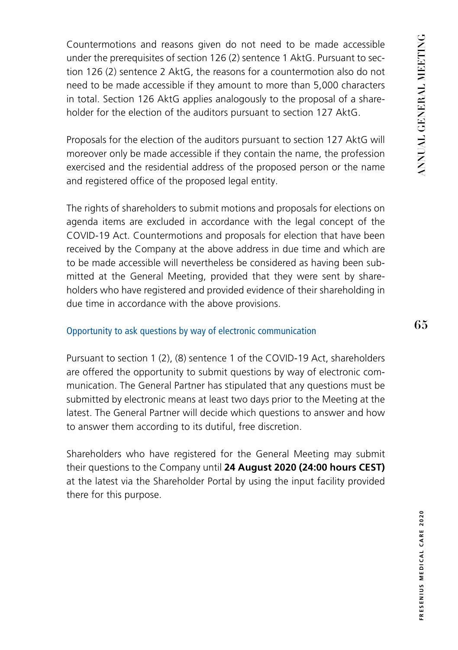Countermotions and reasons given do not need to be made accessible under the prerequisites of section 126 (2) sentence 1 AktG. Pursuant to section 126 (2) sentence 2 AktG, the reasons for a countermotion also do not need to be made accessible if they amount to more than 5,000 characters in total. Section 126 AktG applies analogously to the proposal of a shareholder for the election of the auditors pursuant to section 127 AktG.

Proposals for the election of the auditors pursuant to section 127 AktG will moreover only be made accessible if they contain the name, the profession exercised and the residential address of the proposed person or the name and registered office of the proposed legal entity.

The rights of shareholders to submit motions and proposals for elections on agenda items are excluded in accordance with the legal concept of the COVID-19 Act. Countermotions and proposals for election that have been received by the Company at the above address in due time and which are to be made accessible will nevertheless be considered as having been submitted at the General Meeting, provided that they were sent by shareholders who have registered and provided evidence of their shareholding in due time in accordance with the above provisions.

#### Opportunity to ask questions by way of electronic communication

Pursuant to section 1 (2), (8) sentence 1 of the COVID-19 Act, shareholders are offered the opportunity to submit questions by way of electronic communication. The General Partner has stipulated that any questions must be submitted by electronic means at least two days prior to the Meeting at the latest. The General Partner will decide which questions to answer and how to answer them according to its dutiful, free discretion.

Shareholders who have registered for the General Meeting may submit their questions to the Company until **24 August 2020 (24:00 hours CEST)**  at the latest via the Shareholder Portal by using the input facility provided there for this purpose.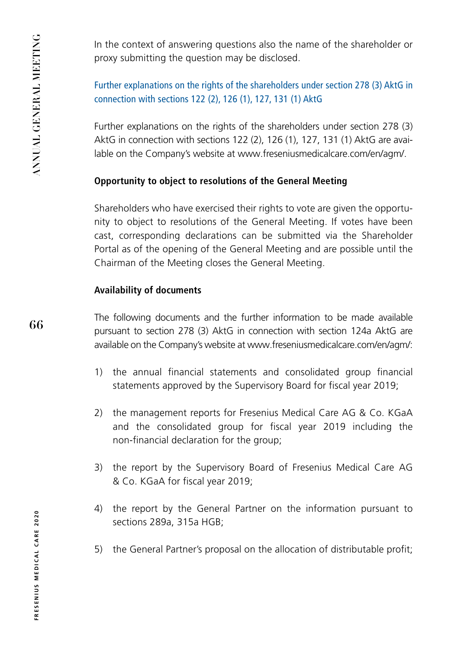**66**

In the context of answering questions also the name of the shareholder or proxy submitting the question may be disclosed.

## Further explanations on the rights of the shareholders under section 278 (3) AktG in connection with sections 122 (2), 126 (1), 127, 131 (1) AktG

Further explanations on the rights of the shareholders under section 278 (3) AktG in connection with sections 122 (2), 126 (1), 127, 131 (1) AktG are available on the Company's website at www.freseniusmedicalcare.com/en/agm/.

## **Opportunity to object to resolutions of the General Meeting**

Shareholders who have exercised their rights to vote are given the opportunity to object to resolutions of the General Meeting. If votes have been cast, corresponding declarations can be submitted via the Shareholder Portal as of the opening of the General Meeting and are possible until the Chairman of the Meeting closes the General Meeting.

## **Availability of documents**

The following documents and the further information to be made available pursuant to section 278 (3) AktG in connection with section 124a AktG are available on the Company's website at www.freseniusmedicalcare.com/en/agm/:

- 1) the annual financial statements and consolidated group financial statements approved by the Supervisory Board for fiscal year 2019;
- 2) the management reports for Fresenius Medical Care AG & Co. KGaA and the consolidated group for fiscal year 2019 including the non-financial declaration for the group;
- 3) the report by the Supervisory Board of Fresenius Medical Care AG & Co. KGaA for fiscal year 2019;
- 4) the report by the General Partner on the information pursuant to sections 289a, 315a HGB;
- 5) the General Partner's proposal on the allocation of distributable profit;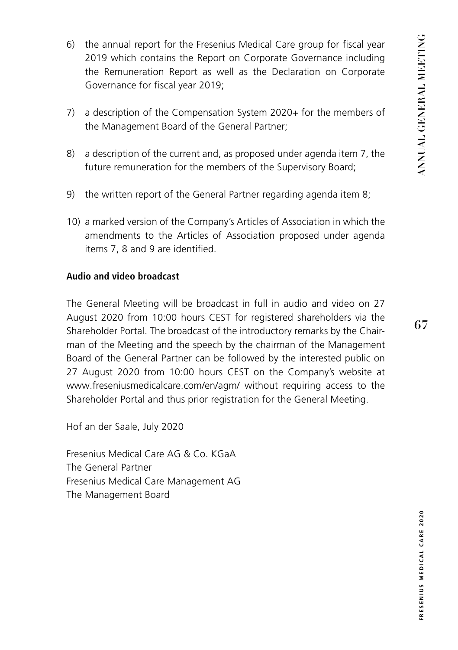- 6) the annual report for the Fresenius Medical Care group for fiscal year 2019 which contains the Report on Corporate Governance including the Remuneration Report as well as the Declaration on Corporate Governance for fiscal year 2019;
- 7) a description of the Compensation System 2020+ for the members of the Management Board of the General Partner;
- 8) a description of the current and, as proposed under agenda item 7, the future remuneration for the members of the Supervisory Board;
- 9) the written report of the General Partner regarding agenda item 8;
- 10) a marked version of the Company's Articles of Association in which the amendments to the Articles of Association proposed under agenda items 7, 8 and 9 are identified.

#### **Audio and video broadcast**

The General Meeting will be broadcast in full in audio and video on 27 August 2020 from 10:00 hours CEST for registered shareholders via the Shareholder Portal. The broadcast of the introductory remarks by the Chairman of the Meeting and the speech by the chairman of the Management Board of the General Partner can be followed by the interested public on 27 August 2020 from 10:00 hours CEST on the Company's website at www.freseniusmedicalcare.com/en/agm/ without requiring access to the Shareholder Portal and thus prior registration for the General Meeting.

Hof an der Saale, July 2020

Fresenius Medical Care AG & Co. KGaA The General Partner Fresenius Medical Care Management AG The Management Board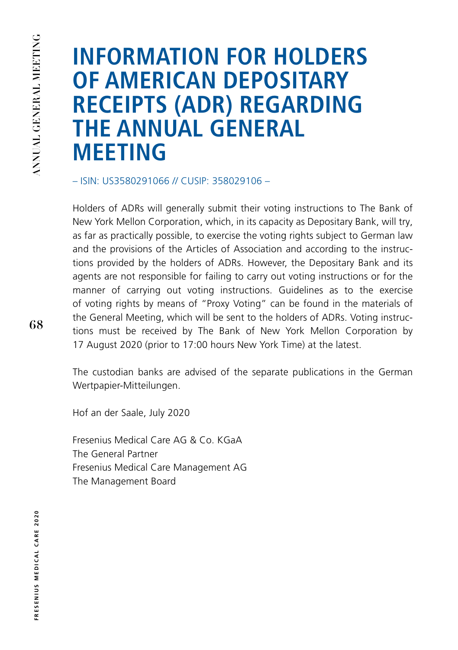# **INFORMATION FOR HOLDERS OF AMERICAN DEPOSITARY RECEIPTS (ADR) REGARDING THE ANNUAL GENERAL MEETING**

– ISIN: US3580291066 // CUSIP: 358029106 –

Holders of ADRs will generally submit their voting instructions to The Bank of New York Mellon Corporation, which, in its capacity as Depositary Bank, will try, as far as practically possible, to exercise the voting rights subject to German law and the provisions of the Articles of Association and according to the instructions provided by the holders of ADRs. However, the Depositary Bank and its agents are not responsible for failing to carry out voting instructions or for the manner of carrying out voting instructions. Guidelines as to the exercise of voting rights by means of "Proxy Voting" can be found in the materials of the General Meeting, which will be sent to the holders of ADRs. Voting instructions must be received by The Bank of New York Mellon Corporation by 17 August 2020 (prior to 17:00 hours New York Time) at the latest.

The custodian banks are advised of the separate publications in the German Wertpapier-Mitteilungen.

Hof an der Saale, July 2020

Fresenius Medical Care AG & Co. KGaA The General Partner Fresenius Medical Care Management AG The Management Board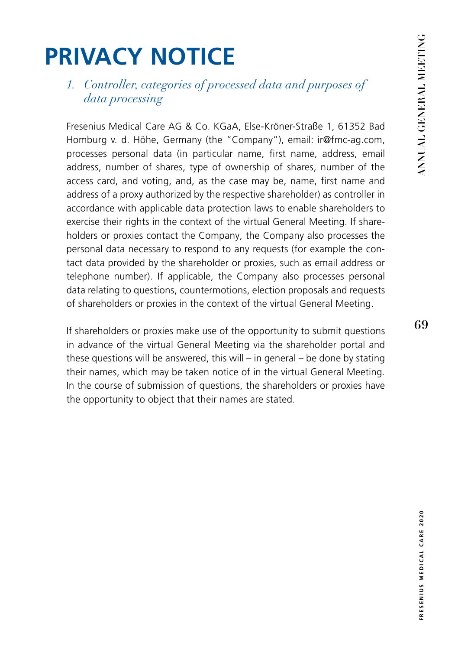# **PRIVACY NOTICE**

# *1. Controller, categories of processed data and purposes of data processing*

Fresenius Medical Care AG & Co. KGaA, Else-Kröner-Straße 1, 61352 Bad Homburg v. d. Höhe, Germany (the "Company"), email: ir@fmc-ag.com, processes personal data (in particular name, first name, address, email address, number of shares, type of ownership of shares, number of the access card, and voting, and, as the case may be, name, first name and address of a proxy authorized by the respective shareholder) as controller in accordance with applicable data protection laws to enable shareholders to exercise their rights in the context of the virtual General Meeting. If shareholders or proxies contact the Company, the Company also processes the personal data necessary to respond to any requests (for example the contact data provided by the shareholder or proxies, such as email address or telephone number). If applicable, the Company also processes personal data relating to questions, countermotions, election proposals and requests of shareholders or proxies in the context of the virtual General Meeting.

If shareholders or proxies make use of the opportunity to submit questions in advance of the virtual General Meeting via the shareholder portal and these questions will be answered, this will – in general – be done by stating their names, which may be taken notice of in the virtual General Meeting. In the course of submission of questions, the shareholders or proxies have the opportunity to object that their names are stated.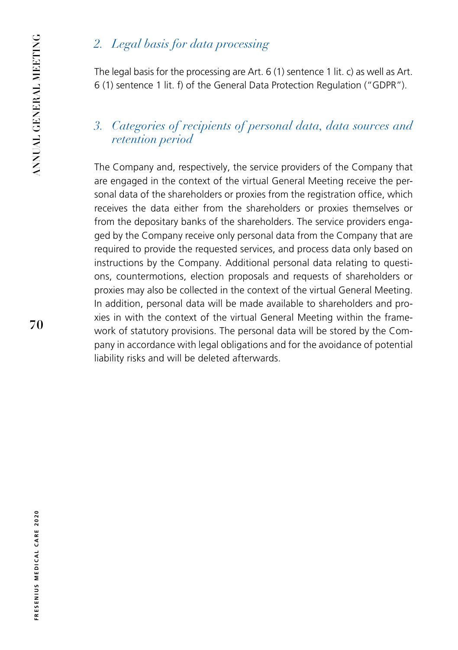# *2. Legal basis for data processing*

The legal basis for the processing are Art. 6 (1) sentence 1 lit. c) as well as Art. 6 (1) sentence 1 lit. f) of the General Data Protection Regulation ("GDPR").

# *3. Categories of recipients of personal data, data sources and retention period*

The Company and, respectively, the service providers of the Company that are engaged in the context of the virtual General Meeting receive the personal data of the shareholders or proxies from the registration office, which receives the data either from the shareholders or proxies themselves or from the depositary banks of the shareholders. The service providers engaged by the Company receive only personal data from the Company that are required to provide the requested services, and process data only based on instructions by the Company. Additional personal data relating to questions, countermotions, election proposals and requests of shareholders or proxies may also be collected in the context of the virtual General Meeting. In addition, personal data will be made available to shareholders and proxies in with the context of the virtual General Meeting within the framework of statutory provisions. The personal data will be stored by the Company in accordance with legal obligations and for the avoidance of potential liability risks and will be deleted afterwards.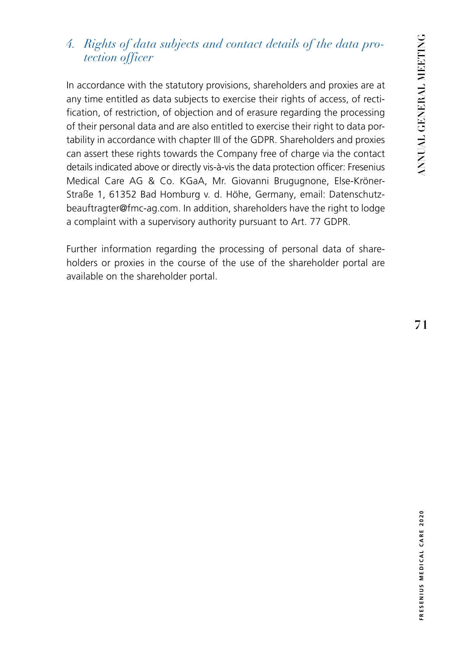# *4. Rights of data subjects and contact details of the data protection officer*

In accordance with the statutory provisions, shareholders and proxies are at any time entitled as data subjects to exercise their rights of access, of rectification, of restriction, of objection and of erasure regarding the processing of their personal data and are also entitled to exercise their right to data portability in accordance with chapter III of the GDPR. Shareholders and proxies can assert these rights towards the Company free of charge via the contact details indicated above or directly vis-à-vis the data protection officer: Fresenius Medical Care AG & Co. KGaA, Mr. Giovanni Brugugnone, Else-Kröner-Straße 1, 61352 Bad Homburg v. d. Höhe, Germany, email: Datenschutzbeauftragter@fmc-ag.com. In addition, shareholders have the right to lodge a complaint with a supervisory authority pursuant to Art. 77 GDPR.

Further information regarding the processing of personal data of shareholders or proxies in the course of the use of the shareholder portal are available on the shareholder portal.